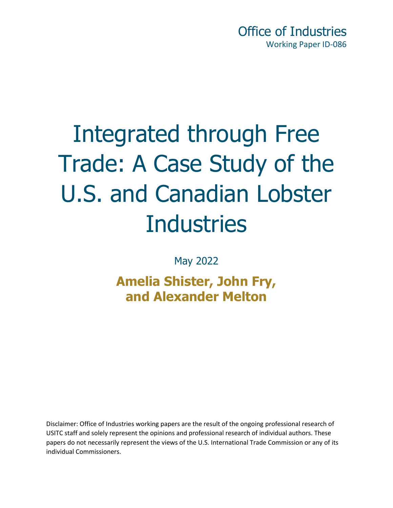Office of Industries Working Paper ID-086

# Integrated through Free Trade: A Case Study of the U.S. and Canadian Lobster **Industries**

May 2022

### **Amelia Shister, John Fry, and Alexander Melton**

Disclaimer: Office of Industries working papers are the result of the ongoing professional research of USITC staff and solely represent the opinions and professional research of individual authors. These papers do not necessarily represent the views of the U.S. International Trade Commission or any of its individual Commissioners.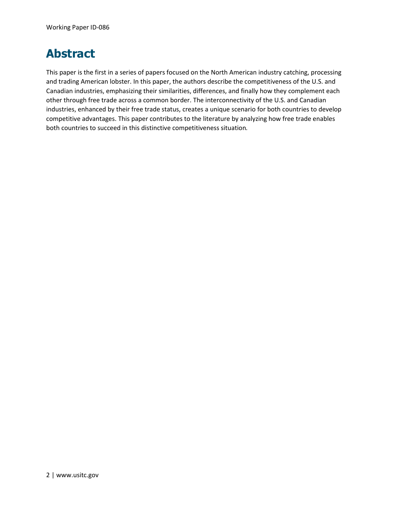### **Abstract**

This paper is the first in a series of papers focused on the North American industry catching, processing and trading American lobster. In this paper, the authors describe the competitiveness of the U.S. and Canadian industries, emphasizing their similarities, differences, and finally how they complement each other through free trade across a common border. The interconnectivity of the U.S. and Canadian industries, enhanced by their free trade status, creates a unique scenario for both countries to develop competitive advantages. This paper contributes to the literature by analyzing how free trade enables both countries to succeed in this distinctive competitiveness situation*.*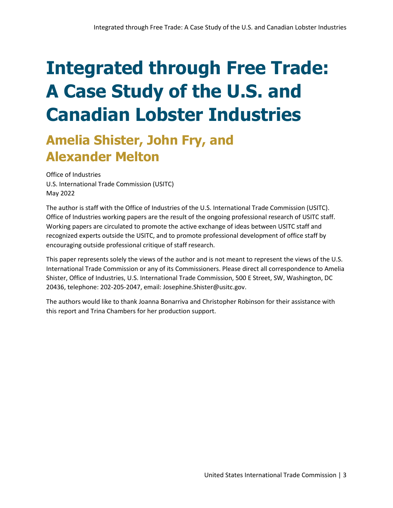## **Integrated through Free Trade: A Case Study of the U.S. and Canadian Lobster Industries**

### **Amelia Shister, John Fry, and Alexander Melton**

Office of Industries U.S. International Trade Commission (USITC) May 2022

The author is staff with the Office of Industries of the U.S. International Trade Commission (USITC). Office of Industries working papers are the result of the ongoing professional research of USITC staff. Working papers are circulated to promote the active exchange of ideas between USITC staff and recognized experts outside the USITC, and to promote professional development of office staff by encouraging outside professional critique of staff research.

This paper represents solely the views of the author and is not meant to represent the views of the U.S. International Trade Commission or any of its Commissioners. Please direct all correspondence to Amelia Shister, Office of Industries, U.S. International Trade Commission, 500 E Street, SW, Washington, DC 20436, telephone: 202-205-2047, email: Josephine.Shister@usitc.gov.

The authors would like to thank Joanna Bonarriva and Christopher Robinson for their assistance with this report and Trina Chambers for her production support.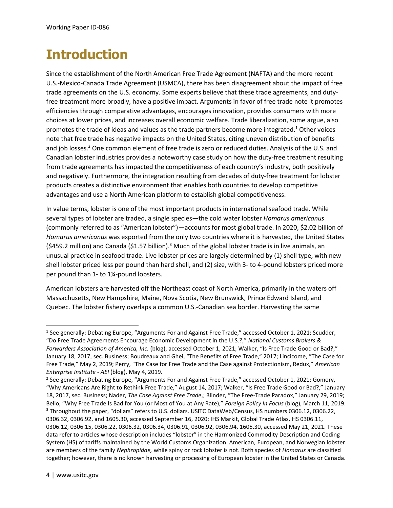### **Introduction**

Since the establishment of the North American Free Trade Agreement (NAFTA) and the more recent U.S.-Mexico-Canada Trade Agreement (USMCA), there has been disagreement about the impact of free trade agreements on the U.S. economy. Some experts believe that these trade agreements, and dutyfree treatment more broadly, have a positive impact. Arguments in favor of free trade note it promotes efficiencies through comparative advantages, encourages innovation, provides consumers with more choices at lower prices, and increases overall economic welfare. Trade liberalization, some argue, also promotes the trade of ideas and values as the trade partners become more integrated.<sup>1</sup> Other voices note that free trade has negative impacts on the United States, citing uneven distribution of benefits and job losses. <sup>2</sup> One common element of free trade is zero or reduced duties. Analysis of the U.S. and Canadian lobster industries provides a noteworthy case study on how the duty-free treatment resulting from trade agreements has impacted the competitiveness of each country's industry, both positively and negatively. Furthermore, the integration resulting from decades of duty-free treatment for lobster products creates a distinctive environment that enables both countries to develop competitive advantages and use a North American platform to establish global competitiveness.

In value terms, lobster is one of the most important products in international seafood trade. While several types of lobster are traded, a single species—the cold water lobster *Homarus americanus* (commonly referred to as "American lobster")*—*accounts for most global trade. In 2020, \$2.02 billion of *Homarus americanus* was exported from the only two countries where it is harvested, the United States  $($ \$459.2 million) and Canada (\$1.57 billion).<sup>3</sup> Much of the global lobster trade is in live animals, an unusual practice in seafood trade. Live lobster prices are largely determined by (1) shell type, with new shell lobster priced less per pound than hard shell, and (2) size, with 3- to 4-pound lobsters priced more per pound than 1- to 1¼-pound lobsters.

American lobsters are harvested off the Northeast coast of North America, primarily in the waters off Massachusetts, New Hampshire, Maine, Nova Scotia, New Brunswick, Prince Edward Island, and Quebec. The lobster fishery overlaps a common U.S.-Canadian sea border. Harvesting the same

<sup>&</sup>lt;sup>1</sup> See generally: Debating Europe, "Arguments For and Against Free Trade," accessed October 1, 2021; Scudder, "Do Free Trade Agreements Encourage Economic Development in the U.S.?," *National Customs Brokers & Forwarders Association of America, Inc.* (blog), accessed October 1, 2021; Walker, "Is Free Trade Good or Bad?," January 18, 2017, sec. Business; Boudreaux and Ghei, "The Benefits of Free Trade," 2017; Lincicome, "The Case for Free Trade," May 2, 2019; Perry, "The Case for Free Trade and the Case against Protectionism, Redux," *American Enterprise Institute - AEI* (blog), May 4, 2019.

<sup>&</sup>lt;sup>2</sup> See generally: Debating Europe, "Arguments For and Against Free Trade," accessed October 1, 2021; Gomory, "Why Americans Are Right to Rethink Free Trade," August 14, 2017; Walker, "Is Free Trade Good or Bad?," January 18, 2017, sec. Business; Nader, *The Case Against Free Trade*,; Blinder, "The Free-Trade Paradox," January 29, 2019; Bello, "Why Free Trade Is Bad for You (or Most of You at Any Rate)," *Foreign Policy In Focus* (blog), March 11, 2019. <sup>3</sup> Throughout the paper, "dollars" refers to U.S. dollars. USITC DataWeb/Census, HS numbers 0306.12, 0306.22, 0306.32, 0306.92, and 1605.30, accessed September 16, 2020; IHS Markit, Global Trade Atlas, HS 0306.11, 0306.12, 0306.15, 0306.22, 0306.32, 0306.34, 0306.91, 0306.92, 0306.94, 1605.30, accessed May 21, 2021. These data refer to articles whose description includes "lobster" in the Harmonized Commodity Description and Coding System (HS) of tariffs maintained by the World Customs Organization. American, European, and Norwegian lobster are members of the family *Nephropidae,* while spiny or rock lobster is not. Both species of *Homarus* are classified together; however, there is no known harvesting or processing of European lobster in the United States or Canada.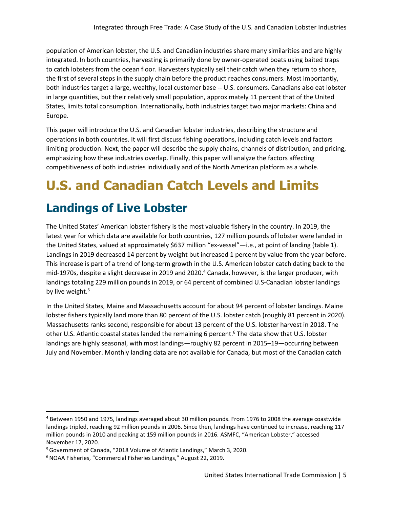population of American lobster, the U.S. and Canadian industries share many similarities and are highly integrated. In both countries, harvesting is primarily done by owner-operated boats using baited traps to catch lobsters from the ocean floor. Harvesters typically sell their catch when they return to shore, the first of several steps in the supply chain before the product reaches consumers. Most importantly, both industries target a large, wealthy, local customer base -- U.S. consumers. Canadians also eat lobster in large quantities, but their relatively small population, approximately 11 percent that of the United States, limits total consumption. Internationally, both industries target two major markets: China and Europe.

This paper will introduce the U.S. and Canadian lobster industries, describing the structure and operations in both countries. It will first discuss fishing operations, including catch levels and factors limiting production. Next, the paper will describe the supply chains, channels of distribution, and pricing, emphasizing how these industries overlap. Finally, this paper will analyze the factors affecting competitiveness of both industries individually and of the North American platform as a whole.

### **U.S. and Canadian Catch Levels and Limits**

### **Landings of Live Lobster**

The United States' American lobster fishery is the most valuable fishery in the country. In 2019, the latest year for which data are available for both countries, 127 million pounds of lobster were landed in the United States, valued at approximately \$637 million "ex-vessel"—i.e., at point of landing (table 1). Landings in 2019 decreased 14 percent by weight but increased 1 percent by value from the year before. This increase is part of a trend of long-term growth in the U.S. American lobster catch dating back to the mid-1970s, despite a slight decrease in 2019 and 2020. <sup>4</sup> Canada, however, is the larger producer, with landings totaling 229 million pounds in 2019, or 64 percent of combined U.S-Canadian lobster landings by live weight.<sup>5</sup>

In the United States, Maine and Massachusetts account for about 94 percent of lobster landings. Maine lobster fishers typically land more than 80 percent of the U.S. lobster catch (roughly 81 percent in 2020). Massachusetts ranks second, responsible for about 13 percent of the U.S. lobster harvest in 2018. The other U.S. Atlantic coastal states landed the remaining 6 percent.<sup>6</sup> The data show that U.S. lobster landings are highly seasonal, with most landings—roughly 82 percent in 2015–19—occurring between July and November. Monthly landing data are not available for Canada, but most of the Canadian catch

<sup>4</sup> Between 1950 and 1975, landings averaged about 30 million pounds. From 1976 to 2008 the average coastwide landings tripled, reaching 92 million pounds in 2006. Since then, landings have continued to increase, reaching 117 million pounds in 2010 and peaking at 159 million pounds in 2016. ASMFC, "American Lobster," accessed November 17, 2020.

<sup>5</sup>Government of Canada, "2018 Volume of Atlantic Landings," March 3, 2020.

<sup>&</sup>lt;sup>6</sup> NOAA Fisheries, "Commercial Fisheries Landings," August 22, 2019.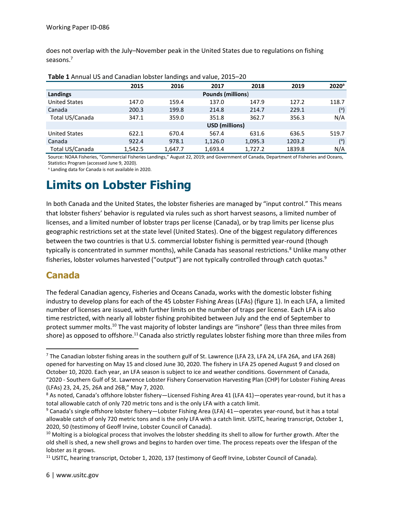does not overlap with the July–November peak in the United States due to regulations on fishing seasons.<sup>7</sup>

|                      | 2015                     | 2016    | 2017    | 2018    | 2019   | 2020 <sup>a</sup> |
|----------------------|--------------------------|---------|---------|---------|--------|-------------------|
| Landings             | <b>Pounds (millions)</b> |         |         |         |        |                   |
| <b>United States</b> | 147.0                    | 159.4   | 137.0   | 147.9   | 127.2  | 118.7             |
| Canada               | 200.3                    | 199.8   | 214.8   | 214.7   | 229.1  | $(^\circ)$        |
| Total US/Canada      | 347.1                    | 359.0   | 351.8   | 362.7   | 356.3  | N/A               |
|                      | USD (millions)           |         |         |         |        |                   |
| <b>United States</b> | 622.1                    | 670.4   | 567.4   | 631.6   | 636.5  | 519.7             |
| Canada               | 922.4                    | 978.1   | 1,126.0 | 1,095.3 | 1203.2 | $\binom{a}{b}$    |
| Total US/Canada      | 1.542.5                  | 1.647.7 | 1.693.4 | 1.727.2 | 1839.8 | N/A               |

Source: NOAA Fisheries, "Commercial Fisheries Landings," August 22, 2019; and Government of Canada, Department of Fisheries and Oceans, Statistics Program (accessed June 9, 2020).

<sup>a</sup> Landing data for Canada is not available in 2020.

### **Limits on Lobster Fishing**

In both Canada and the United States, the lobster fisheries are managed by "input control." This means that lobster fishers' behavior is regulated via rules such as short harvest seasons, a limited number of licenses, and a limited number of lobster traps per license (Canada), or by trap limits per license plus geographic restrictions set at the state level (United States). One of the biggest regulatory differences between the two countries is that U.S. commercial lobster fishing is permitted year-round (though typically is concentrated in summer months), while Canada has seasonal restrictions.<sup>8</sup> Unlike many other fisheries, lobster volumes harvested ("output") are not typically controlled through catch quotas.<sup>9</sup>

#### **Canada**

The federal Canadian agency, Fisheries and Oceans Canada, works with the domestic lobster fishing industry to develop plans for each of the 45 Lobster Fishing Areas (LFAs) (figure 1). In each LFA, a limited number of licenses are issued, with further limits on the number of traps per license. Each LFA is also time restricted, with nearly all lobster fishing prohibited between July and the end of September to protect summer molts.<sup>10</sup> The vast majority of lobster landings are "inshore" (less than three miles from shore) as opposed to offshore.<sup>11</sup> Canada also strictly regulates lobster fishing more than three miles from

<sup>7</sup> The Canadian lobster fishing areas in the southern gulf of St. Lawrence (LFA 23, LFA 24, LFA 26A, and LFA 26B) opened for harvesting on May 15 and closed June 30, 2020. The fishery in LFA 25 opened August 9 and closed on October 10, 2020. Each year, an LFA season is subject to ice and weather conditions. Government of Canada, "2020 - Southern Gulf of St. Lawrence Lobster Fishery Conservation Harvesting Plan (CHP) for Lobster Fishing Areas (LFAs) 23, 24, 25, 26A and 26B," May 7, 2020.

<sup>8</sup> As noted, Canada's offshore lobster fishery—Licensed Fishing Area 41 (LFA 41)—operates year-round, but it has a total allowable catch of only 720 metric tons and is the only LFA with a catch limit.

<sup>9</sup> Canada's single offshore lobster fishery—Lobster Fishing Area (LFA) 41—operates year-round, but it has a total allowable catch of only 720 metric tons and is the only LFA with a catch limit. USITC, hearing transcript, October 1, 2020, 50 (testimony of Geoff Irvine, Lobster Council of Canada).

 $10$  Molting is a biological process that involves the lobster shedding its shell to allow for further growth. After the old shell is shed, a new shell grows and begins to harden over time. The process repeats over the lifespan of the lobster as it grows.

<sup>&</sup>lt;sup>11</sup> USITC, hearing transcript, October 1, 2020, 137 (testimony of Geoff Irvine, Lobster Council of Canada).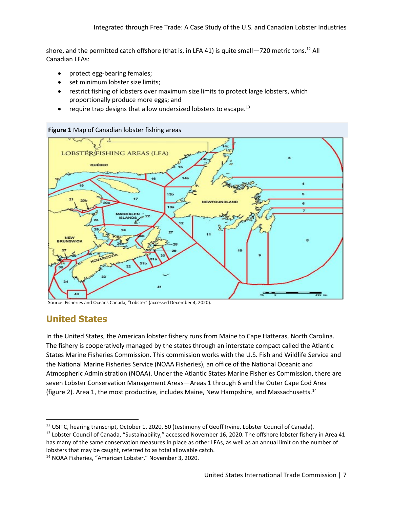shore, and the permitted catch offshore (that is, in LFA 41) is quite small—720 metric tons.<sup>12</sup> All Canadian LFAs:

- protect egg-bearing females;
- set minimum lobster size limits:
- restrict fishing of lobsters over maximum size limits to protect large lobsters, which proportionally produce more eggs; and
- require trap designs that allow undersized lobsters to escape.<sup>13</sup>



#### **Figure 1** Map of Canadian lobster fishing areas

Source: Fisheries and Oceans Canada, "Lobster" (accessed December 4, 2020).

#### **United States**

In the United States, the American lobster fishery runs from Maine to Cape Hatteras, North Carolina. The fishery is cooperatively managed by the states through an interstate compact called the Atlantic States Marine Fisheries Commission. This commission works with the U.S. Fish and Wildlife Service and the National Marine Fisheries Service (NOAA Fisheries), an office of the National Oceanic and Atmospheric Administration (NOAA). Under the Atlantic States Marine Fisheries Commission, there are seven Lobster Conservation Management Areas—Areas 1 through 6 and the Outer Cape Cod Area (figure 2). Area 1, the most productive, includes Maine, New Hampshire, and Massachusetts.<sup>14</sup>

<sup>&</sup>lt;sup>12</sup> USITC, hearing transcript, October 1, 2020, 50 (testimony of Geoff Irvine, Lobster Council of Canada).

<sup>&</sup>lt;sup>13</sup> Lobster Council of Canada, "Sustainability," accessed November 16, 2020. The offshore lobster fishery in Area 41 has many of the same conservation measures in place as other LFAs, as well as an annual limit on the number of lobsters that may be caught, referred to as total allowable catch.

<sup>14</sup> NOAA Fisheries, "American Lobster," November 3, 2020.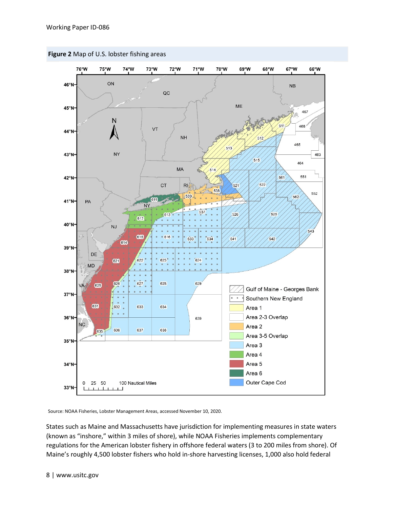

**Figure 2** Map of U.S. lobster fishing areas

Source: NOAA Fisheries, Lobster Management Areas, accessed November 10, 2020.

States such as Maine and Massachusetts have jurisdiction for implementing measures in state waters (known as "inshore," within 3 miles of shore), while NOAA Fisheries implements complementary regulations for the American lobster fishery in offshore federal waters (3 to 200 miles from shore). Of Maine's roughly 4,500 lobster fishers who hold in-shore harvesting licenses, 1,000 also hold federal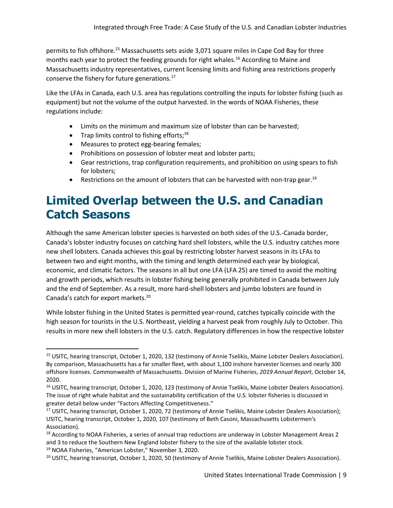permits to fish offshore.<sup>15</sup> Massachusetts sets aside 3,071 square miles in Cape Cod Bay for three months each year to protect the feeding grounds for right whales.<sup>16</sup> According to Maine and Massachusetts industry representatives, current licensing limits and fishing area restrictions properly conserve the fishery for future generations.<sup>17</sup>

Like the LFAs in Canada, each U.S. area has regulations controlling the inputs for lobster fishing (such as equipment) but not the volume of the output harvested. In the words of NOAA Fisheries, these regulations include:

- Limits on the minimum and maximum size of lobster than can be harvested;
- Trap limits control to fishing efforts;<sup>18</sup>
- Measures to protect egg-bearing females;
- Prohibitions on possession of lobster meat and lobster parts;
- Gear restrictions, trap configuration requirements, and prohibition on using spears to fish for lobsters;
- Restrictions on the amount of lobsters that can be harvested with non-trap gear.<sup>19</sup>

### **Limited Overlap between the U.S. and Canadian Catch Seasons**

Although the same American lobster species is harvested on both sides of the U.S.-Canada border, Canada's lobster industry focuses on catching hard shell lobsters, while the U.S. industry catches more new shell lobsters. Canada achieves this goal by restricting lobster harvest seasons in its LFAs to between two and eight months, with the timing and length determined each year by biological, economic, and climatic factors. The seasons in all but one LFA (LFA 25) are timed to avoid the molting and growth periods, which results in lobster fishing being generally prohibited in Canada between July and the end of September. As a result, more hard-shell lobsters and jumbo lobsters are found in Canada's catch for export markets.<sup>20</sup>

While lobster fishing in the United States is permitted year-round, catches typically coincide with the high season for tourists in the U.S. Northeast, yielding a harvest peak from roughly July to October. This results in more new shell lobsters in the U.S. catch. Regulatory differences in how the respective lobster

<sup>&</sup>lt;sup>15</sup> USITC, hearing transcript, October 1, 2020, 132 (testimony of Annie Tselikis, Maine Lobster Dealers Association). By comparison, Massachusetts has a far smaller fleet, with about 1,100 inshore harvester licenses and nearly 300 offshore licenses. Commonwealth of Massachusetts. Division of Marine Fisheries, *2019 Annual Report*, October 14, 2020.

<sup>&</sup>lt;sup>16</sup> USITC, hearing transcript, October 1, 2020, 123 (testimony of Annie Tselikis, Maine Lobster Dealers Association). The issue of right whale habitat and the sustainability certification of the U.S. lobster fisheries is discussed in greater detail below under "Factors Affecting Competitiveness."

<sup>&</sup>lt;sup>17</sup> USITC, hearing transcript, October 1, 2020, 72 (testimony of Annie Tselikis, Maine Lobster Dealers Association); USITC, hearing transcript, October 1, 2020, 107 (testimony of Beth Casoni, Massachusetts Lobstermen's Association).

<sup>&</sup>lt;sup>18</sup> According to NOAA Fisheries, a series of annual trap reductions are underway in Lobster Management Areas 2 and 3 to reduce the Southern New England lobster fishery to the size of the available lobster stock. <sup>19</sup> NOAA Fisheries, "American Lobster," November 3, 2020.

<sup>&</sup>lt;sup>20</sup> USITC, hearing transcript, October 1, 2020, 50 (testimony of Annie Tselikis, Maine Lobster Dealers Association).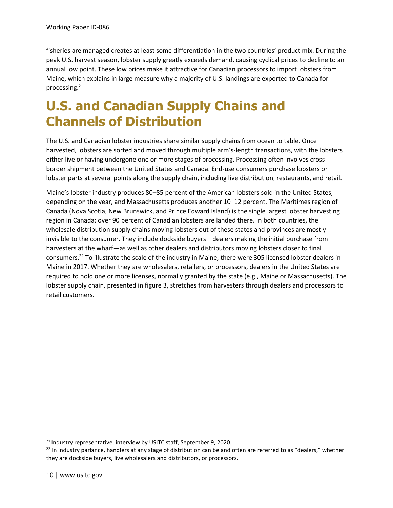fisheries are managed creates at least some differentiation in the two countries' product mix. During the peak U.S. harvest season, lobster supply greatly exceeds demand, causing cyclical prices to decline to an annual low point. These low prices make it attractive for Canadian processors to import lobsters from Maine, which explains in large measure why a majority of U.S. landings are exported to Canada for processing.<sup>21</sup>

### **U.S. and Canadian Supply Chains and Channels of Distribution**

The U.S. and Canadian lobster industries share similar supply chains from ocean to table. Once harvested, lobsters are sorted and moved through multiple arm's-length transactions, with the lobsters either live or having undergone one or more stages of processing. Processing often involves crossborder shipment between the United States and Canada. End-use consumers purchase lobsters or lobster parts at several points along the supply chain, including live distribution, restaurants, and retail.

Maine's lobster industry produces 80–85 percent of the American lobsters sold in the United States, depending on the year, and Massachusetts produces another 10–12 percent. The Maritimes region of Canada (Nova Scotia, New Brunswick, and Prince Edward Island) is the single largest lobster harvesting region in Canada: over 90 percent of Canadian lobsters are landed there. In both countries, the wholesale distribution supply chains moving lobsters out of these states and provinces are mostly invisible to the consumer. They include dockside buyers—dealers making the initial purchase from harvesters at the wharf—as well as other dealers and distributors moving lobsters closer to final consumers.<sup>22</sup> To illustrate the scale of the industry in Maine, there were 305 licensed lobster dealers in Maine in 2017. Whether they are wholesalers, retailers, or processors, dealers in the United States are required to hold one or more licenses, normally granted by the state (e.g., Maine or Massachusetts). The lobster supply chain, presented in figure 3, stretches from harvesters through dealers and processors to retail customers.

<sup>&</sup>lt;sup>21</sup> Industry representative, interview by USITC staff, September 9, 2020.

<sup>&</sup>lt;sup>22</sup> In industry parlance, handlers at any stage of distribution can be and often are referred to as "dealers," whether they are dockside buyers, live wholesalers and distributors, or processors.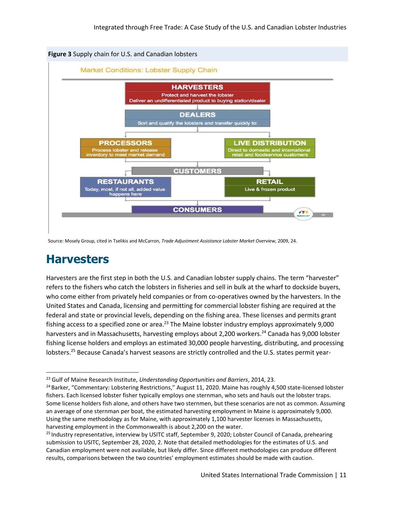

Source: Mosely Group, cited in Tselikis and McCarron, *Trade Adjustment Assistance Lobster Market Overview*, 2009, 24.

### **Harvesters**

Harvesters are the first step in both the U.S. and Canadian lobster supply chains. The term "harvester" refers to the fishers who catch the lobsters in fisheries and sell in bulk at the wharf to dockside buyers, who come either from privately held companies or from co-operatives owned by the harvesters. In the United States and Canada, licensing and permitting for commercial lobster fishing are required at the federal and state or provincial levels, depending on the fishing area. These licenses and permits grant fishing access to a specified zone or area.<sup>23</sup> The Maine lobster industry employs approximately  $9,000$ harvesters and in Massachusetts, harvesting employs about 2,200 workers. <sup>24</sup> Canada has 9,000 lobster fishing license holders and employs an estimated 30,000 people harvesting, distributing, and processing lobsters.<sup>25</sup> Because Canada's harvest seasons are strictly controlled and the U.S. states permit year-

<sup>23</sup> Gulf of Maine Research Institute, *Understanding Opportunities and Barriers*, 2014, 23.

<sup>&</sup>lt;sup>24</sup> Barker, "Commentary: Lobstering Restrictions," August 11, 2020. Maine has roughly 4,500 state-licensed lobster fishers. Each licensed lobster fisher typically employs one sternman, who sets and hauls out the lobster traps. Some license holders fish alone, and others have two sternmen, but these scenarios are not as common. Assuming an average of one sternman per boat, the estimated harvesting employment in Maine is approximately 9,000. Using the same methodology as for Maine, with approximately 1,100 harvester licenses in Massachusetts, harvesting employment in the Commonwealth is about 2,200 on the water.

<sup>&</sup>lt;sup>25</sup> Industry representative, interview by USITC staff, September 9, 2020; Lobster Council of Canada, prehearing submission to USITC, September 28, 2020, 2. Note that detailed methodologies for the estimates of U.S. and Canadian employment were not available, but likely differ. Since different methodologies can produce different results, comparisons between the two countries' employment estimates should be made with caution.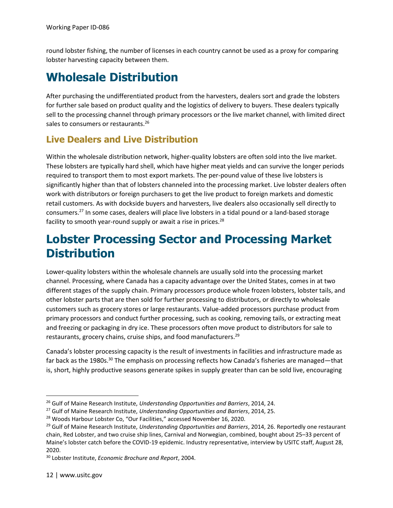round lobster fishing, the number of licenses in each country cannot be used as a proxy for comparing lobster harvesting capacity between them.

### **Wholesale Distribution**

After purchasing the undifferentiated product from the harvesters, dealers sort and grade the lobsters for further sale based on product quality and the logistics of delivery to buyers. These dealers typically sell to the processing channel through primary processors or the live market channel, with limited direct sales to consumers or restaurants.<sup>26</sup>

#### **Live Dealers and Live Distribution**

Within the wholesale distribution network, higher-quality lobsters are often sold into the live market. These lobsters are typically hard shell, which have higher meat yields and can survive the longer periods required to transport them to most export markets. The per-pound value of these live lobsters is significantly higher than that of lobsters channeled into the processing market. Live lobster dealers often work with distributors or foreign purchasers to get the live product to foreign markets and domestic retail customers. As with dockside buyers and harvesters, live dealers also occasionally sell directly to consumers.<sup>27</sup> In some cases, dealers will place live lobsters in a tidal pound or a land-based storage facility to smooth year-round supply or await a rise in prices.<sup>28</sup>

### **Lobster Processing Sector and Processing Market Distribution**

Lower-quality lobsters within the wholesale channels are usually sold into the processing market channel. Processing, where Canada has a capacity advantage over the United States, comes in at two different stages of the supply chain. Primary processors produce whole frozen lobsters, lobster tails, and other lobster parts that are then sold for further processing to distributors, or directly to wholesale customers such as grocery stores or large restaurants. Value-added processors purchase product from primary processors and conduct further processing, such as cooking, removing tails, or extracting meat and freezing or packaging in dry ice. These processors often move product to distributors for sale to restaurants, grocery chains, cruise ships, and food manufacturers.<sup>29</sup>

Canada's lobster processing capacity is the result of investments in facilities and infrastructure made as far back as the 1980s.<sup>30</sup> The emphasis on processing reflects how Canada's fisheries are managed—that is, short, highly productive seasons generate spikes in supply greater than can be sold live, encouraging

<sup>26</sup> Gulf of Maine Research Institute, *Understanding Opportunities and Barriers*, 2014, 24.

<sup>27</sup> Gulf of Maine Research Institute, *Understanding Opportunities and Barriers*, 2014, 25.

<sup>&</sup>lt;sup>28</sup> Woods Harbour Lobster Co, "Our Facilities," accessed November 16, 2020.

<sup>29</sup> Gulf of Maine Research Institute, *Understanding Opportunities and Barriers*, 2014, 26. Reportedly one restaurant chain, Red Lobster, and two cruise ship lines, Carnival and Norwegian, combined, bought about 25–33 percent of Maine's lobster catch before the COVID-19 epidemic. Industry representative, interview by USITC staff, August 28, 2020.

<sup>30</sup> Lobster Institute, *Economic Brochure and Report*, 2004.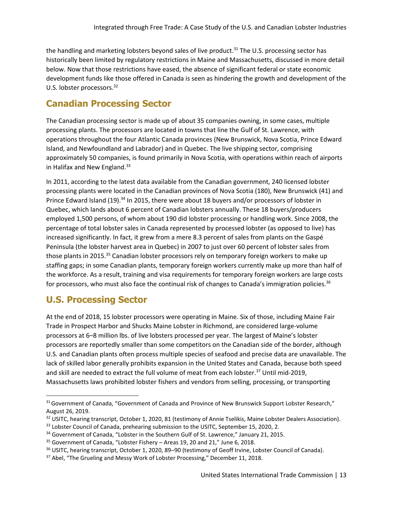the handling and marketing lobsters beyond sales of live product.<sup>31</sup> The U.S. processing sector has historically been limited by regulatory restrictions in Maine and Massachusetts, discussed in more detail below. Now that those restrictions have eased, the absence of significant federal or state economic development funds like those offered in Canada is seen as hindering the growth and development of the U.S. lobster processors.<sup>32</sup>

#### **Canadian Processing Sector**

The Canadian processing sector is made up of about 35 companies owning, in some cases, multiple processing plants. The processors are located in towns that line the Gulf of St. Lawrence, with operations throughout the four Atlantic Canada provinces (New Brunswick, Nova Scotia, Prince Edward Island, and Newfoundland and Labrador) and in Quebec. The live shipping sector, comprising approximately 50 companies, is found primarily in Nova Scotia, with operations within reach of airports in Halifax and New England. $33$ 

In 2011, according to the latest data available from the Canadian government, 240 licensed lobster processing plants were located in the Canadian provinces of Nova Scotia (180), New Brunswick (41) and Prince Edward Island (19).<sup>34</sup> In 2015, there were about 18 buyers and/or processors of lobster in Quebec, which lands about 6 percent of Canadian lobsters annually. These 18 buyers/producers employed 1,500 persons, of whom about 190 did lobster processing or handling work. Since 2008, the percentage of total lobster sales in Canada represented by processed lobster (as opposed to live) has increased significantly. In fact, it grew from a mere 8.3 percent of sales from plants on the Gaspé Peninsula (the lobster harvest area in Quebec) in 2007 to just over 60 percent of lobster sales from those plants in 2015.<sup>35</sup> Canadian lobster processors rely on temporary foreign workers to make up staffing gaps; in some Canadian plants, temporary foreign workers currently make up more than half of the workforce. As a result, training and visa requirements for temporary foreign workers are large costs for processors, who must also face the continual risk of changes to Canada's immigration policies.<sup>36</sup>

#### **U.S. Processing Sector**

At the end of 2018, 15 lobster processors were operating in Maine. Six of those, including Maine Fair Trade in Prospect Harbor and Shucks Maine Lobster in Richmond, are considered large-volume processors at 6–8 million lbs. of live lobsters processed per year. The largest of Maine's lobster processors are reportedly smaller than some competitors on the Canadian side of the border, although U.S. and Canadian plants often process multiple species of seafood and precise data are unavailable. The lack of skilled labor generally prohibits expansion in the United States and Canada, because both speed and skill are needed to extract the full volume of meat from each lobster.<sup>37</sup> Until mid-2019, Massachusetts laws prohibited lobster fishers and vendors from selling, processing, or transporting

<sup>&</sup>lt;sup>31</sup> Government of Canada, "Government of Canada and Province of New Brunswick Support Lobster Research," August 26, 2019.

<sup>&</sup>lt;sup>32</sup> USITC, hearing transcript, October 1, 2020, 81 (testimony of Annie Tselikis, Maine Lobster Dealers Association).

<sup>&</sup>lt;sup>33</sup> Lobster Council of Canada, prehearing submission to the USITC, September 15, 2020, 2.

<sup>&</sup>lt;sup>34</sup> Government of Canada, "Lobster in the Southern Gulf of St. Lawrence," January 21, 2015.

<sup>35</sup> Government of Canada, "Lobster Fishery – Areas 19, 20 and 21," June 6, 2018.

<sup>&</sup>lt;sup>36</sup> USITC, hearing transcript, October 1, 2020, 89–90 (testimony of Geoff Irvine, Lobster Council of Canada).

<sup>&</sup>lt;sup>37</sup> Abel, "The Grueling and Messy Work of Lobster Processing," December 11, 2018.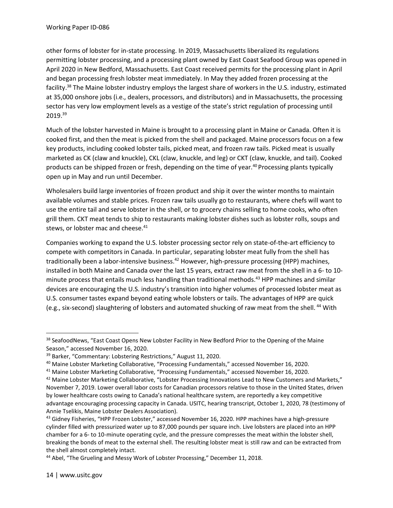other forms of lobster for in-state processing. In 2019, Massachusetts liberalized its regulations permitting lobster processing, and a processing plant owned by East Coast Seafood Group was opened in April 2020 in New Bedford, Massachusetts. East Coast received permits for the processing plant in April and began processing fresh lobster meat immediately. In May they added frozen processing at the facility.<sup>38</sup> The Maine lobster industry employs the largest share of workers in the U.S. industry, estimated at 35,000 onshore jobs (i.e., dealers, processors, and distributors) and in Massachusetts, the processing sector has very low employment levels as a vestige of the state's strict regulation of processing until 2019.<sup>39</sup>

Much of the lobster harvested in Maine is brought to a processing plant in Maine or Canada. Often it is cooked first, and then the meat is picked from the shell and packaged. Maine processors focus on a few key products, including cooked lobster tails, picked meat, and frozen raw tails. Picked meat is usually marketed as CK (claw and knuckle), CKL (claw, knuckle, and leg) or CKT (claw, knuckle, and tail). Cooked products can be shipped frozen or fresh, depending on the time of year.<sup>40</sup> Processing plants typically open up in May and run until December.

Wholesalers build large inventories of frozen product and ship it over the winter months to maintain available volumes and stable prices. Frozen raw tails usually go to restaurants, where chefs will want to use the entire tail and serve lobster in the shell, or to grocery chains selling to home cooks, who often grill them. CKT meat tends to ship to restaurants making lobster dishes such as lobster rolls, soups and stews, or lobster mac and cheese.<sup>41</sup>

Companies working to expand the U.S. lobster processing sector rely on state-of-the-art efficiency to compete with competitors in Canada. In particular, separating lobster meat fully from the shell has traditionally been a labor-intensive business.<sup>42</sup> However, high-pressure processing (HPP) machines, installed in both Maine and Canada over the last 15 years, extract raw meat from the shell in a 6- to 10 minute process that entails much less handling than traditional methods.<sup>43</sup> HPP machines and similar devices are encouraging the U.S. industry's transition into higher volumes of processed lobster meat as U.S. consumer tastes expand beyond eating whole lobsters or tails. The advantages of HPP are quick (e.g., six-second) slaughtering of lobsters and automated shucking of raw meat from the shell. <sup>44</sup> With

<sup>&</sup>lt;sup>38</sup> SeafoodNews, "East Coast Opens New Lobster Facility in New Bedford Prior to the Opening of the Maine Season," accessed November 16, 2020.

<sup>&</sup>lt;sup>39</sup> Barker, "Commentary: Lobstering Restrictions," August 11, 2020.

<sup>40</sup> Maine Lobster Marketing Collaborative, "Processing Fundamentals," accessed November 16, 2020.

<sup>41</sup> Maine Lobster Marketing Collaborative, "Processing Fundamentals," accessed November 16, 2020.

<sup>&</sup>lt;sup>42</sup> Maine Lobster Marketing Collaborative, "Lobster Processing Innovations Lead to New Customers and Markets," November 7, 2019. Lower overall labor costs for Canadian processors relative to those in the United States, driven by lower healthcare costs owing to Canada's national healthcare system, are reportedly a key competitive advantage encouraging processing capacity in Canada. USITC, hearing transcript, October 1, 2020, 78 (testimony of Annie Tselikis, Maine Lobster Dealers Association).

<sup>&</sup>lt;sup>43</sup> Gidney Fisheries, "HPP Frozen Lobster," accessed November 16, 2020. HPP machines have a high-pressure cylinder filled with pressurized water up to 87,000 pounds per square inch. Live lobsters are placed into an HPP chamber for a 6- to 10-minute operating cycle, and the pressure compresses the meat within the lobster shell, breaking the bonds of meat to the external shell. The resulting lobster meat is still raw and can be extracted from the shell almost completely intact.

<sup>&</sup>lt;sup>44</sup> Abel, "The Grueling and Messy Work of Lobster Processing," December 11, 2018.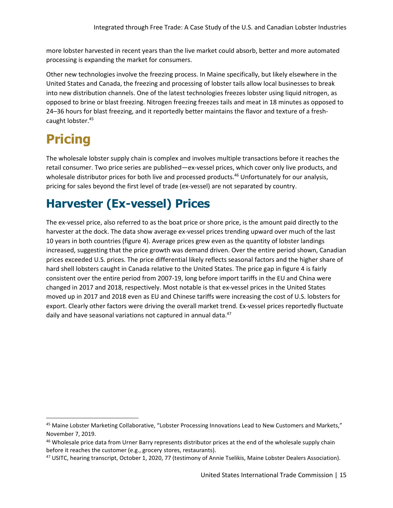more lobster harvested in recent years than the live market could absorb, better and more automated processing is expanding the market for consumers.

Other new technologies involve the freezing process. In Maine specifically, but likely elsewhere in the United States and Canada, the freezing and processing of lobster tails allow local businesses to break into new distribution channels. One of the latest technologies freezes lobster using liquid nitrogen, as opposed to brine or blast freezing. Nitrogen freezing freezes tails and meat in 18 minutes as opposed to 24–36 hours for blast freezing, and it reportedly better maintains the flavor and texture of a freshcaught lobster.<sup>45</sup>

### **Pricing**

The wholesale lobster supply chain is complex and involves multiple transactions before it reaches the retail consumer. Two price series are published—ex-vessel prices, which cover only live products, and wholesale distributor prices for both live and processed products.<sup>46</sup> Unfortunately for our analysis, pricing for sales beyond the first level of trade (ex-vessel) are not separated by country.

### **Harvester (Ex-vessel) Prices**

The ex-vessel price, also referred to as the boat price or shore price, is the amount paid directly to the harvester at the dock. The data show average ex-vessel prices trending upward over much of the last 10 years in both countries (figure 4). Average prices grew even as the quantity of lobster landings increased, suggesting that the price growth was demand driven. Over the entire period shown, Canadian prices exceeded U.S. prices. The price differential likely reflects seasonal factors and the higher share of hard shell lobsters caught in Canada relative to the United States. The price gap in figure 4 is fairly consistent over the entire period from 2007-19, long before import tariffs in the EU and China were changed in 2017 and 2018, respectively. Most notable is that ex-vessel prices in the United States moved up in 2017 and 2018 even as EU and Chinese tariffs were increasing the cost of U.S. lobsters for export. Clearly other factors were driving the overall market trend. Ex-vessel prices reportedly fluctuate daily and have seasonal variations not captured in annual data.<sup>47</sup>

<sup>&</sup>lt;sup>45</sup> Maine Lobster Marketing Collaborative, "Lobster Processing Innovations Lead to New Customers and Markets," November 7, 2019.

<sup>&</sup>lt;sup>46</sup> Wholesale price data from Urner Barry represents distributor prices at the end of the wholesale supply chain before it reaches the customer (e.g., grocery stores, restaurants).

<sup>&</sup>lt;sup>47</sup> USITC, hearing transcript, October 1, 2020, 77 (testimony of Annie Tselikis, Maine Lobster Dealers Association).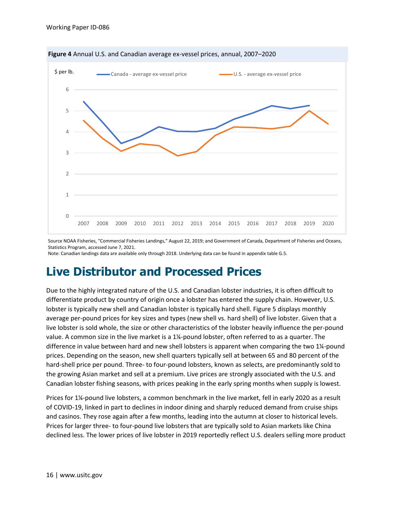

**Figure 4** Annual U.S. and Canadian average ex-vessel prices, annual, 2007–2020

Source NOAA Fisheries, "Commercial Fisheries Landings," August 22, 2019; and Government of Canada, Department of Fisheries and Oceans, Statistics Program, accessed June 7, 2021.

Note: Canadian landings data are available only through 2018. Underlying data can be found in appendix table G.5.

### **Live Distributor and Processed Prices**

Due to the highly integrated nature of the U.S. and Canadian lobster industries, it is often difficult to differentiate product by country of origin once a lobster has entered the supply chain. However, U.S. lobster is typically new shell and Canadian lobster is typically hard shell. Figure 5 displays monthly average per-pound prices for key sizes and types (new shell vs. hard shell) of live lobster. Given that a live lobster is sold whole, the size or other characteristics of the lobster heavily influence the per-pound value. A common size in the live market is a 1¼-pound lobster, often referred to as a quarter. The difference in value between hard and new shell lobsters is apparent when comparing the two 1¼-pound prices. Depending on the season, new shell quarters typically sell at between 65 and 80 percent of the hard-shell price per pound. Three- to four-pound lobsters, known as selects, are predominantly sold to the growing Asian market and sell at a premium. Live prices are strongly associated with the U.S. and Canadian lobster fishing seasons, with prices peaking in the early spring months when supply is lowest.

Prices for 1¼-pound live lobsters, a common benchmark in the live market, fell in early 2020 as a result of COVID-19, linked in part to declines in indoor dining and sharply reduced demand from cruise ships and casinos. They rose again after a few months, leading into the autumn at closer to historical levels. Prices for larger three- to four-pound live lobsters that are typically sold to Asian markets like China declined less. The lower prices of live lobster in 2019 reportedly reflect U.S. dealers selling more product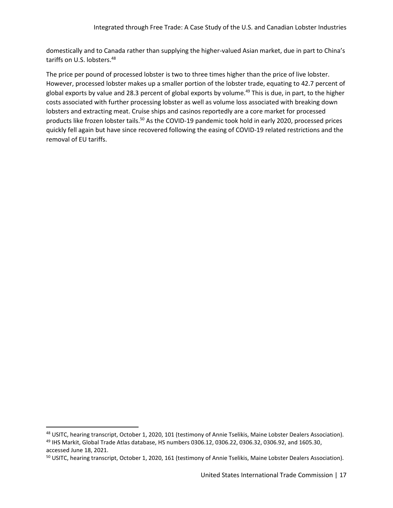domestically and to Canada rather than supplying the higher-valued Asian market, due in part to China's tariffs on U.S. lobsters.<sup>48</sup>

The price per pound of processed lobster is two to three times higher than the price of live lobster. However, processed lobster makes up a smaller portion of the lobster trade, equating to 42.7 percent of global exports by value and 28.3 percent of global exports by volume.<sup>49</sup> This is due, in part, to the higher costs associated with further processing lobster as well as volume loss associated with breaking down lobsters and extracting meat. Cruise ships and casinos reportedly are a core market for processed products like frozen lobster tails.<sup>50</sup> As the COVID-19 pandemic took hold in early 2020, processed prices quickly fell again but have since recovered following the easing of COVID-19 related restrictions and the removal of EU tariffs.

<sup>48</sup> USITC, hearing transcript, October 1, 2020, 101 (testimony of Annie Tselikis, Maine Lobster Dealers Association). <sup>49</sup> IHS Markit, Global Trade Atlas database, HS numbers 0306.12, 0306.22, 0306.32, 0306.92, and 1605.30, accessed June 18, 2021.

<sup>&</sup>lt;sup>50</sup> USITC, hearing transcript, October 1, 2020, 161 (testimony of Annie Tselikis, Maine Lobster Dealers Association).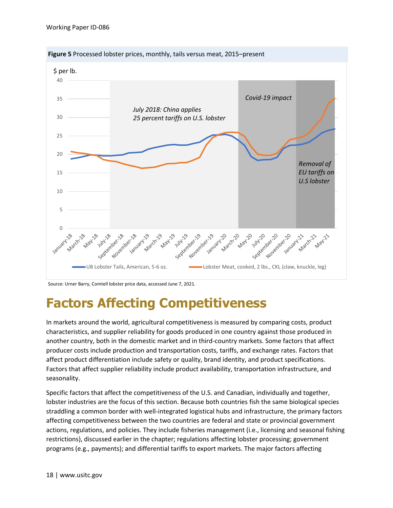

**Figure 5** Processed lobster prices, monthly, tails versus meat, 2015–present

Source: Urner Barry, Comtell lobster price data, accessed June 7, 2021.

### **Factors Affecting Competitiveness**

In markets around the world, agricultural competitiveness is measured by comparing costs, product characteristics, and supplier reliability for goods produced in one country against those produced in another country, both in the domestic market and in third-country markets. Some factors that affect producer costs include production and transportation costs, tariffs, and exchange rates. Factors that affect product differentiation include safety or quality, brand identity, and product specifications. Factors that affect supplier reliability include product availability, transportation infrastructure, and seasonality.

Specific factors that affect the competitiveness of the U.S. and Canadian, individually and together, lobster industries are the focus of this section. Because both countries fish the same biological species straddling a common border with well-integrated logistical hubs and infrastructure, the primary factors affecting competitiveness between the two countries are federal and state or provincial government actions, regulations, and policies. They include fisheries management (i.e., licensing and seasonal fishing restrictions), discussed earlier in the chapter; regulations affecting lobster processing; government programs (e.g., payments); and differential tariffs to export markets. The major factors affecting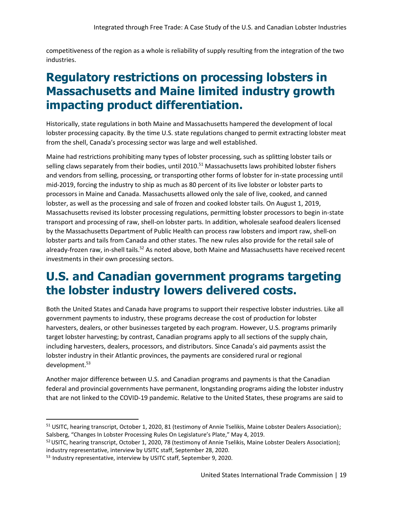competitiveness of the region as a whole is reliability of supply resulting from the integration of the two industries.

### **Regulatory restrictions on processing lobsters in Massachusetts and Maine limited industry growth impacting product differentiation.**

Historically, state regulations in both Maine and Massachusetts hampered the development of local lobster processing capacity. By the time U.S. state regulations changed to permit extracting lobster meat from the shell, Canada's processing sector was large and well established.

Maine had restrictions prohibiting many types of lobster processing, such as splitting lobster tails or selling claws separately from their bodies, until 2010.<sup>51</sup> Massachusetts laws prohibited lobster fishers and vendors from selling, processing, or transporting other forms of lobster for in-state processing until mid-2019, forcing the industry to ship as much as 80 percent of its live lobster or lobster parts to processors in Maine and Canada. Massachusetts allowed only the sale of live, cooked, and canned lobster, as well as the processing and sale of frozen and cooked lobster tails. On August 1, 2019, Massachusetts revised its lobster processing regulations, permitting lobster processors to begin in-state transport and processing of raw, shell-on lobster parts. In addition, wholesale seafood dealers licensed by the Massachusetts Department of Public Health can process raw lobsters and import raw, shell-on lobster parts and tails from Canada and other states. The new rules also provide for the retail sale of already-frozen raw, in-shell tails.<sup>52</sup> As noted above, both Maine and Massachusetts have received recent investments in their own processing sectors.

### **U.S. and Canadian government programs targeting the lobster industry lowers delivered costs.**

Both the United States and Canada have programs to support their respective lobster industries. Like all government payments to industry, these programs decrease the cost of production for lobster harvesters, dealers, or other businesses targeted by each program. However, U.S. programs primarily target lobster harvesting; by contrast, Canadian programs apply to all sections of the supply chain, including harvesters, dealers, processors, and distributors. Since Canada's aid payments assist the lobster industry in their Atlantic provinces, the payments are considered rural or regional development.<sup>53</sup>

Another major difference between U.S. and Canadian programs and payments is that the Canadian federal and provincial governments have permanent, longstanding programs aiding the lobster industry that are not linked to the COVID-19 pandemic. Relative to the United States, these programs are said to

<sup>&</sup>lt;sup>51</sup> USITC, hearing transcript, October 1, 2020, 81 (testimony of Annie Tselikis, Maine Lobster Dealers Association); Salsberg, "Changes In Lobster Processing Rules On Legislature's Plate," May 4, 2019.

<sup>&</sup>lt;sup>52</sup> USITC, hearing transcript, October 1, 2020, 78 (testimony of Annie Tselikis, Maine Lobster Dealers Association); industry representative, interview by USITC staff, September 28, 2020.

<sup>&</sup>lt;sup>53</sup> Industry representative, interview by USITC staff, September 9, 2020.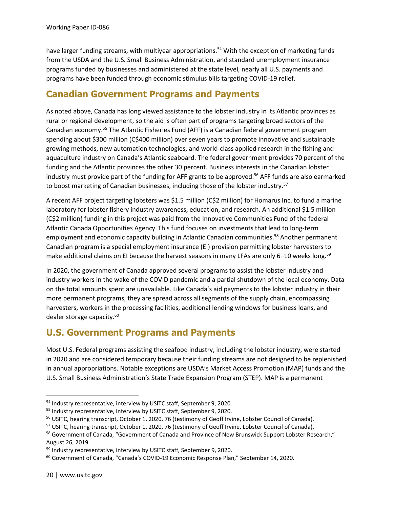have larger funding streams, with multiyear appropriations.<sup>54</sup> With the exception of marketing funds from the USDA and the U.S. Small Business Administration, and standard unemployment insurance programs funded by businesses and administered at the state level, nearly all U.S. payments and programs have been funded through economic stimulus bills targeting COVID-19 relief.

#### **Canadian Government Programs and Payments**

As noted above, Canada has long viewed assistance to the lobster industry in its Atlantic provinces as rural or regional development, so the aid is often part of programs targeting broad sectors of the Canadian economy.<sup>55</sup> The Atlantic Fisheries Fund (AFF) is a Canadian federal government program spending about \$300 million (C\$400 million) over seven years to promote innovative and sustainable growing methods, new automation technologies, and world-class applied research in the fishing and aquaculture industry on Canada's Atlantic seaboard. The federal government provides 70 percent of the funding and the Atlantic provinces the other 30 percent. Business interests in the Canadian lobster industry must provide part of the funding for AFF grants to be approved.<sup>56</sup> AFF funds are also earmarked to boost marketing of Canadian businesses, including those of the lobster industry.<sup>57</sup>

A recent AFF project targeting lobsters was \$1.5 million (C\$2 million) for Homarus Inc. to fund a marine laboratory for lobster fishery industry awareness, education, and research. An additional \$1.5 million (C\$2 million) funding in this project was paid from the Innovative Communities Fund of the federal Atlantic Canada Opportunities Agency. This fund focuses on investments that lead to long-term employment and economic capacity building in Atlantic Canadian communities.<sup>58</sup> Another permanent Canadian program is a special employment insurance (EI) provision permitting lobster harvesters to make additional claims on EI because the harvest seasons in many LFAs are only 6-10 weeks long.<sup>59</sup>

In 2020, the government of Canada approved several programs to assist the lobster industry and industry workers in the wake of the COVID pandemic and a partial shutdown of the local economy. Data on the total amounts spent are unavailable. Like Canada's aid payments to the lobster industry in their more permanent programs, they are spread across all segments of the supply chain, encompassing harvesters, workers in the processing facilities, additional lending windows for business loans, and dealer storage capacity.<sup>60</sup>

#### **U.S. Government Programs and Payments**

Most U.S. Federal programs assisting the seafood industry, including the lobster industry, were started in 2020 and are considered temporary because their funding streams are not designed to be replenished in annual appropriations. Notable exceptions are USDA's Market Access Promotion (MAP) funds and the U.S. Small Business Administration's State Trade Expansion Program (STEP). MAP is a permanent

<sup>&</sup>lt;sup>54</sup> Industry representative, interview by USITC staff, September 9, 2020.

<sup>&</sup>lt;sup>55</sup> Industry representative, interview by USITC staff, September 9, 2020.

<sup>&</sup>lt;sup>56</sup> USITC, hearing transcript, October 1, 2020, 76 (testimony of Geoff Irvine, Lobster Council of Canada).

<sup>&</sup>lt;sup>57</sup> USITC, hearing transcript, October 1, 2020, 76 (testimony of Geoff Irvine, Lobster Council of Canada).

<sup>&</sup>lt;sup>58</sup> Government of Canada, "Government of Canada and Province of New Brunswick Support Lobster Research," August 26, 2019.

<sup>&</sup>lt;sup>59</sup> Industry representative, interview by USITC staff, September 9, 2020.

<sup>60</sup> Government of Canada, "Canada's COVID-19 Economic Response Plan," September 14, 2020.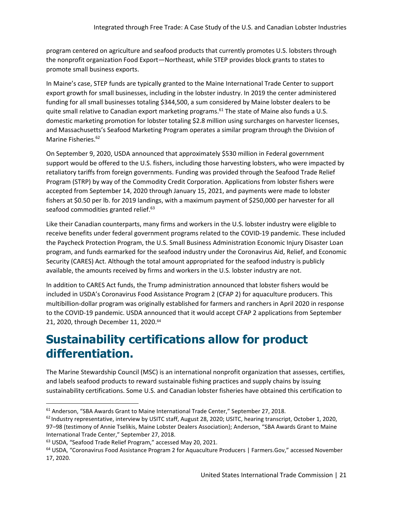program centered on agriculture and seafood products that currently promotes U.S. lobsters through the nonprofit organization Food Export—Northeast, while STEP provides block grants to states to promote small business exports.

In Maine's case, STEP funds are typically granted to the Maine International Trade Center to support export growth for small businesses, including in the lobster industry. In 2019 the center administered funding for all small businesses totaling \$344,500, a sum considered by Maine lobster dealers to be quite small relative to Canadian export marketing programs.<sup>61</sup> The state of Maine also funds a U.S. domestic marketing promotion for lobster totaling \$2.8 million using surcharges on harvester licenses, and Massachusetts's Seafood Marketing Program operates a similar program through the Division of Marine Fisheries.<sup>62</sup>

On September 9, 2020, USDA announced that approximately \$530 million in Federal government support would be offered to the U.S. fishers, including those harvesting lobsters, who were impacted by retaliatory tariffs from foreign governments. Funding was provided through the Seafood Trade Relief Program (STRP) by way of the Commodity Credit Corporation. Applications from lobster fishers were accepted from September 14, 2020 through January 15, 2021, and payments were made to lobster fishers at \$0.50 per lb. for 2019 landings, with a maximum payment of \$250,000 per harvester for all seafood commodities granted relief.<sup>63</sup>

Like their Canadian counterparts, many firms and workers in the U.S. lobster industry were eligible to receive benefits under federal government programs related to the COVID-19 pandemic. These included the Paycheck Protection Program, the U.S. Small Business Administration Economic Injury Disaster Loan program, and funds earmarked for the seafood industry under the Coronavirus Aid, Relief, and Economic Security (CARES) Act. Although the total amount appropriated for the seafood industry is publicly available, the amounts received by firms and workers in the U.S. lobster industry are not.

In addition to CARES Act funds, the Trump administration announced that lobster fishers would be included in USDA's Coronavirus Food Assistance Program 2 (CFAP 2) for aquaculture producers. This multibillion-dollar program was originally established for farmers and ranchers in April 2020 in response to the COVID-19 pandemic. USDA announced that it would accept CFAP 2 applications from September 21, 2020, through December 11, 2020.<sup>64</sup>

### **Sustainability certifications allow for product differentiation.**

The Marine Stewardship Council (MSC) is an international nonprofit organization that assesses, certifies, and labels seafood products to reward sustainable fishing practices and supply chains by issuing sustainability certifications. Some U.S. and Canadian lobster fisheries have obtained this certification to

<sup>&</sup>lt;sup>61</sup> Anderson, "SBA Awards Grant to Maine International Trade Center," September 27, 2018.

 $62$  Industry representative, interview by USITC staff, August 28, 2020; USITC, hearing transcript, October 1, 2020, 97–98 (testimony of Annie Tselikis, Maine Lobster Dealers Association); Anderson, "SBA Awards Grant to Maine International Trade Center," September 27, 2018.

<sup>63</sup> USDA, "Seafood Trade Relief Program," accessed May 20, 2021.

<sup>64</sup> USDA, "Coronavirus Food Assistance Program 2 for Aquaculture Producers | Farmers.Gov," accessed November 17, 2020.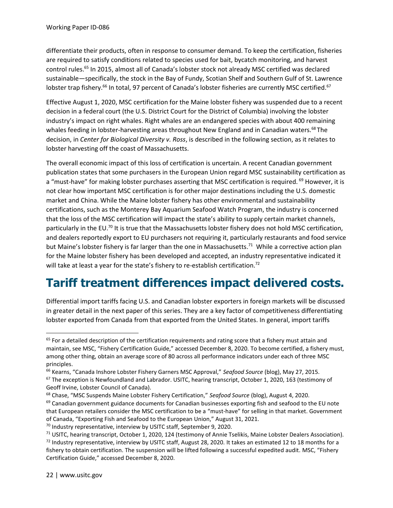differentiate their products, often in response to consumer demand. To keep the certification, fisheries are required to satisfy conditions related to species used for bait, bycatch monitoring, and harvest control rules.<sup>65</sup> In 2015, almost all of Canada's lobster stock not already MSC certified was declared sustainable—specifically, the stock in the Bay of Fundy, Scotian Shelf and Southern Gulf of St. Lawrence lobster trap fishery.<sup>66</sup> In total, 97 percent of Canada's lobster fisheries are currently MSC certified.<sup>67</sup>

Effective August 1, 2020, MSC certification for the Maine lobster fishery was suspended due to a recent decision in a federal court (the U.S. District Court for the District of Columbia) involving the lobster industry's impact on right whales. Right whales are an endangered species with about 400 remaining whales feeding in lobster-harvesting areas throughout New England and in Canadian waters.<sup>68</sup> The decision, in *Center for Biological Diversity v. Ross*, is described in the following section, as it relates to lobster harvesting off the coast of Massachusetts.

The overall economic impact of this loss of certification is uncertain. A recent Canadian government publication states that some purchasers in the European Union regard MSC sustainability certification as a "must-have" for making lobster purchases asserting that MSC certification is required. <sup>69</sup> However, it is not clear how important MSC certification is for other major destinations including the U.S. domestic market and China. While the Maine lobster fishery has other environmental and sustainability certifications, such as the Monterey Bay Aquarium Seafood Watch Program, the industry is concerned that the loss of the MSC certification will impact the state's ability to supply certain market channels, particularly in the EU.<sup>70</sup> It is true that the Massachusetts lobster fishery does not hold MSC certification, and dealers reportedly export to EU purchasers not requiring it, particularly restaurants and food service but Maine's lobster fishery is far larger than the one in Massachusetts.<sup>71</sup> While a corrective action plan for the Maine lobster fishery has been developed and accepted, an industry representative indicated it will take at least a year for the state's fishery to re-establish certification.<sup>72</sup>

### **Tariff treatment differences impact delivered costs.**

Differential import tariffs facing U.S. and Canadian lobster exporters in foreign markets will be discussed in greater detail in the next paper of this series. They are a key factor of competitiveness differentiating lobster exported from Canada from that exported from the United States. In general, import tariffs

<sup>70</sup> Industry representative, interview by USITC staff, September 9, 2020.

 $65$  For a detailed description of the certification requirements and rating score that a fishery must attain and maintain, see MSC, "Fishery Certification Guide," accessed December 8, 2020. To become certified, a fishery must, among other thing, obtain an average score of 80 across all performance indicators under each of three MSC principles.

<sup>66</sup> Kearns, "Canada Inshore Lobster Fishery Garners MSC Approval," *Seafood Source* (blog), May 27, 2015.

 $67$  The exception is Newfoundland and Labrador. USITC, hearing transcript, October 1, 2020, 163 (testimony of Geoff Irvine, Lobster Council of Canada).

<sup>68</sup> Chase, "MSC Suspends Maine Lobster Fishery Certification," *Seafood Source* (blog), August 4, 2020.

 $69$  Canadian government guidance documents for Canadian businesses exporting fish and seafood to the EU note that European retailers consider the MSC certification to be a "must-have" for selling in that market. Government of Canada, "Exporting Fish and Seafood to the European Union," August 31, 2021.

 $71$  USITC, hearing transcript, October 1, 2020, 124 (testimony of Annie Tselikis, Maine Lobster Dealers Association). 72 Industry representative, interview by USITC staff, August 28, 2020. It takes an estimated 12 to 18 months for a fishery to obtain certification. The suspension will be lifted following a successful expedited audit. MSC, "Fishery Certification Guide," accessed December 8, 2020.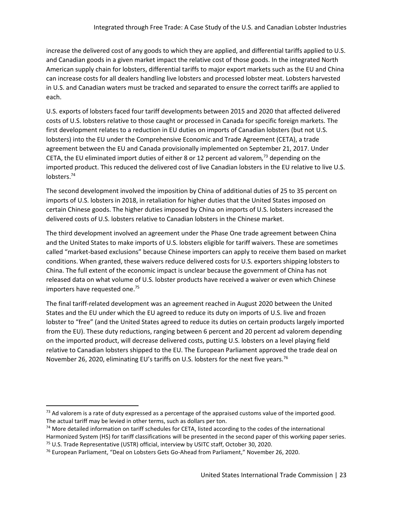increase the delivered cost of any goods to which they are applied, and differential tariffs applied to U.S. and Canadian goods in a given market impact the relative cost of those goods. In the integrated North American supply chain for lobsters, differential tariffs to major export markets such as the EU and China can increase costs for all dealers handling live lobsters and processed lobster meat. Lobsters harvested in U.S. and Canadian waters must be tracked and separated to ensure the correct tariffs are applied to each.

U.S. exports of lobsters faced four tariff developments between 2015 and 2020 that affected delivered costs of U.S. lobsters relative to those caught or processed in Canada for specific foreign markets. The first development relates to a reduction in EU duties on imports of Canadian lobsters (but not U.S. lobsters) into the EU under the Comprehensive Economic and Trade Agreement (CETA), a trade agreement between the EU and Canada provisionally implemented on September 21, 2017. Under CETA, the EU eliminated import duties of either 8 or 12 percent ad valorem*,* <sup>73</sup> depending on the imported product. This reduced the delivered cost of live Canadian lobsters in the EU relative to live U.S. lobsters.<sup>74</sup>

The second development involved the imposition by China of additional duties of 25 to 35 percent on imports of U.S. lobsters in 2018, in retaliation for higher duties that the United States imposed on certain Chinese goods. The higher duties imposed by China on imports of U.S. lobsters increased the delivered costs of U.S. lobsters relative to Canadian lobsters in the Chinese market.

The third development involved an agreement under the Phase One trade agreement between China and the United States to make imports of U.S. lobsters eligible for tariff waivers. These are sometimes called "market-based exclusions" because Chinese importers can apply to receive them based on market conditions. When granted, these waivers reduce delivered costs for U.S. exporters shipping lobsters to China. The full extent of the economic impact is unclear because the government of China has not released data on what volume of U.S. lobster products have received a waiver or even which Chinese importers have requested one.<sup>75</sup>

The final tariff-related development was an agreement reached in August 2020 between the United States and the EU under which the EU agreed to reduce its duty on imports of U.S. live and frozen lobster to "free" (and the United States agreed to reduce its duties on certain products largely imported from the EU). These duty reductions, ranging between 6 percent and 20 percent ad valorem depending on the imported product, will decrease delivered costs, putting U.S. lobsters on a level playing field relative to Canadian lobsters shipped to the EU. The European Parliament approved the trade deal on November 26, 2020, eliminating EU's tariffs on U.S. lobsters for the next five years.<sup>76</sup>

 $73$  Ad valorem is a rate of duty expressed as a percentage of the appraised customs value of the imported good. The actual tariff may be levied in other terms, such as dollars per ton.

 $74$  More detailed information on tariff schedules for CETA, listed according to the codes of the international Harmonized System (HS) for tariff classifications will be presented in the second paper of this working paper series. <sup>75</sup> U.S. Trade Representative (USTR) official, interview by USITC staff, October 30, 2020.

<sup>76</sup> European Parliament, "Deal on Lobsters Gets Go-Ahead from Parliament," November 26, 2020.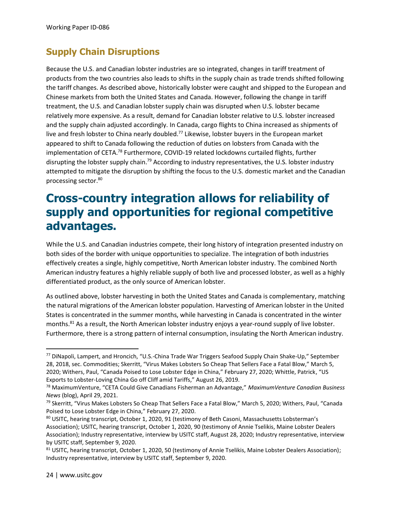#### **Supply Chain Disruptions**

Because the U.S. and Canadian lobster industries are so integrated, changes in tariff treatment of products from the two countries also leads to shifts in the supply chain as trade trends shifted following the tariff changes. As described above, historically lobster were caught and shipped to the European and Chinese markets from both the United States and Canada. However, following the change in tariff treatment, the U.S. and Canadian lobster supply chain was disrupted when U.S. lobster became relatively more expensive. As a result, demand for Canadian lobster relative to U.S. lobster increased and the supply chain adjusted accordingly. In Canada, cargo flights to China increased as shipments of live and fresh lobster to China nearly doubled.<sup>77</sup> Likewise, lobster buyers in the European market appeared to shift to Canada following the reduction of duties on lobsters from Canada with the implementation of CETA.<sup>78</sup> Furthermore, COVID-19 related lockdowns curtailed flights, further disrupting the lobster supply chain.<sup>79</sup> According to industry representatives, the U.S. lobster industry attempted to mitigate the disruption by shifting the focus to the U.S. domestic market and the Canadian processing sector.<sup>80</sup>

### **Cross-country integration allows for reliability of supply and opportunities for regional competitive advantages.**

While the U.S. and Canadian industries compete, their long history of integration presented industry on both sides of the border with unique opportunities to specialize. The integration of both industries effectively creates a single, highly competitive, North American lobster industry. The combined North American industry features a highly reliable supply of both live and processed lobster, as well as a highly differentiated product, as the only source of American lobster.

As outlined above, lobster harvesting in both the United States and Canada is complementary, matching the natural migrations of the American lobster population. Harvesting of American lobster in the United States is concentrated in the summer months, while harvesting in Canada is concentrated in the winter months.<sup>81</sup> As a result, the North American lobster industry enjoys a year-round supply of live lobster. Furthermore, there is a strong pattern of internal consumption, insulating the North American industry.

<sup>77</sup> DiNapoli, Lampert, and Hroncich, "U.S.-China Trade War Triggers Seafood Supply Chain Shake-Up," September 28, 2018, sec. Commodities; Skerritt, "Virus Makes Lobsters So Cheap That Sellers Face a Fatal Blow," March 5, 2020; Withers, Paul, "Canada Poised to Lose Lobster Edge in China," February 27, 2020; Whittle, Patrick, "US Exports to Lobster-Loving China Go off Cliff amid Tariffs," August 26, 2019.

<sup>78</sup> MaximumVenture, "CETA Could Give Canadians Fisherman an Advantage," *MaximumVenture Canadian Business News* (blog), April 29, 2021.

<sup>79</sup> Skerritt, "Virus Makes Lobsters So Cheap That Sellers Face a Fatal Blow," March 5, 2020; Withers, Paul, "Canada Poised to Lose Lobster Edge in China," February 27, 2020.

<sup>80</sup> USITC, hearing transcript, October 1, 2020, 91 (testimony of Beth Casoni, Massachusetts Lobsterman's Association); USITC, hearing transcript, October 1, 2020, 90 (testimony of Annie Tselikis, Maine Lobster Dealers Association); Industry representative, interview by USITC staff, August 28, 2020; Industry representative, interview by USITC staff, September 9, 2020.

 $81$  USITC, hearing transcript, October 1, 2020, 50 (testimony of Annie Tselikis, Maine Lobster Dealers Association); Industry representative, interview by USITC staff, September 9, 2020.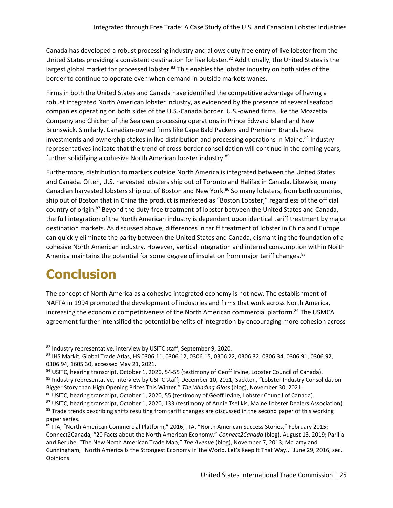Canada has developed a robust processing industry and allows duty free entry of live lobster from the United States providing a consistent destination for live lobster.<sup>82</sup> Additionally, the United States is the largest global market for processed lobster.<sup>83</sup> This enables the lobster industry on both sides of the border to continue to operate even when demand in outside markets wanes.

Firms in both the United States and Canada have identified the competitive advantage of having a robust integrated North American lobster industry, as evidenced by the presence of several seafood companies operating on both sides of the U.S.-Canada border. U.S.-owned firms like the Mozzetta Company and Chicken of the Sea own processing operations in Prince Edward Island and New Brunswick. Similarly, Canadian-owned firms like Cape Bald Packers and Premium Brands have investments and ownership stakes in live distribution and processing operations in Maine.<sup>84</sup> Industry representatives indicate that the trend of cross-border consolidation will continue in the coming years, further solidifying a cohesive North American lobster industry.<sup>85</sup>

Furthermore, distribution to markets outside North America is integrated between the United States and Canada. Often, U.S. harvested lobsters ship out of Toronto and Halifax in Canada. Likewise, many Canadian harvested lobsters ship out of Boston and New York.<sup>86</sup> So many lobsters, from both countries, ship out of Boston that in China the product is marketed as "Boston Lobster," regardless of the official country of origin.<sup>87</sup> Beyond the duty-free treatment of lobster between the United States and Canada, the full integration of the North American industry is dependent upon identical tariff treatment by major destination markets. As discussed above, differences in tariff treatment of lobster in China and Europe can quickly eliminate the parity between the United States and Canada, dismantling the foundation of a cohesive North American industry. However, vertical integration and internal consumption within North America maintains the potential for some degree of insulation from major tariff changes.<sup>88</sup>

### **Conclusion**

The concept of North America as a cohesive integrated economy is not new. The establishment of NAFTA in 1994 promoted the development of industries and firms that work across North America, increasing the economic competitiveness of the North American commercial platform.<sup>89</sup> The USMCA agreement further intensified the potential benefits of integration by encouraging more cohesion across

<sup>82</sup> Industry representative, interview by USITC staff, September 9, 2020.

<sup>83</sup> IHS Markit, Global Trade Atlas, HS 0306.11, 0306.12, 0306.15, 0306.22, 0306.32, 0306.34, 0306.91, 0306.92, 0306.94, 1605.30, accessed May 21, 2021.

<sup>84</sup> USITC, hearing transcript, October 1, 2020, 54-55 (testimony of Geoff Irvine, Lobster Council of Canada).

<sup>&</sup>lt;sup>85</sup> Industry representative, interview by USITC staff, December 10, 2021; Sackton, "Lobster Industry Consolidation Bigger Story than High Opening Prices This Winter," *The Winding Glass* (blog), November 30, 2021.

<sup>86</sup> USITC, hearing transcript, October 1, 2020, 55 (testimony of Geoff Irvine, Lobster Council of Canada).

<sup>87</sup> USITC, hearing transcript, October 1, 2020, 133 (testimony of Annie Tselikis, Maine Lobster Dealers Association). <sup>88</sup> Trade trends describing shifts resulting from tariff changes are discussed in the second paper of this working paper series.

<sup>89</sup> ITA, "North American Commercial Platform," 2016; ITA, "North American Success Stories," February 2015; Connect2Canada, "20 Facts about the North American Economy," *Connect2Canada* (blog), August 13, 2019; Parilla and Berube, "The New North American Trade Map," *The Avenue* (blog), November 7, 2013; McLarty and Cunningham, "North America Is the Strongest Economy in the World. Let's Keep It That Way.," June 29, 2016, sec. Opinions.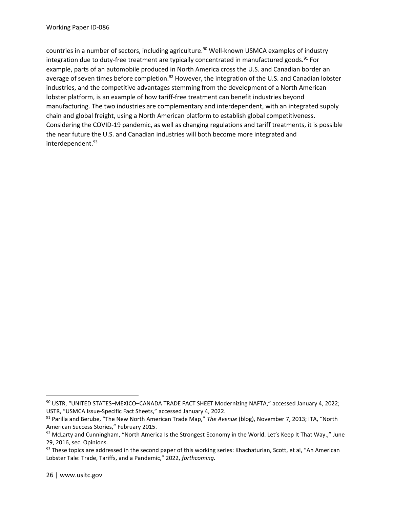countries in a number of sectors, including agriculture.<sup>90</sup> Well-known USMCA examples of industry integration due to duty-free treatment are typically concentrated in manufactured goods.<sup>91</sup> For example, parts of an automobile produced in North America cross the U.S. and Canadian border an average of seven times before completion.<sup>92</sup> However, the integration of the U.S. and Canadian lobster industries, and the competitive advantages stemming from the development of a North American lobster platform, is an example of how tariff-free treatment can benefit industries beyond manufacturing. The two industries are complementary and interdependent, with an integrated supply chain and global freight, using a North American platform to establish global competitiveness. Considering the COVID-19 pandemic, as well as changing regulations and tariff treatments, it is possible the near future the U.S. and Canadian industries will both become more integrated and interdependent.<sup>93</sup>

<sup>90</sup> USTR, "UNITED STATES–MEXICO–CANADA TRADE FACT SHEET Modernizing NAFTA," accessed January 4, 2022; USTR, "USMCA Issue-Specific Fact Sheets," accessed January 4, 2022.

<sup>91</sup> Parilla and Berube, "The New North American Trade Map," *The Avenue* (blog), November 7, 2013; ITA, "North American Success Stories," February 2015.

 $92$  McLarty and Cunningham, "North America Is the Strongest Economy in the World. Let's Keep It That Way.," June 29, 2016, sec. Opinions.

 $93$  These topics are addressed in the second paper of this working series: Khachaturian, Scott, et al, "An American Lobster Tale: Trade, Tariffs, and a Pandemic," 2022, *forthcoming.*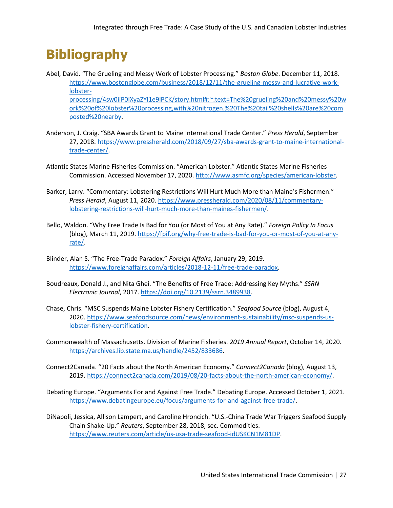### **Bibliography**

- Abel, David. "The Grueling and Messy Work of Lobster Processing." *Boston Globe*. December 11, 2018. [https://www.bostonglobe.com/business/2018/12/11/the-grueling-messy-and-lucrative-work](https://www.bostonglobe.com/business/2018/12/11/the-grueling-messy-and-lucrative-work-lobster-processing/4sw0iiP0IXyaZYI1e9lPCK/story.html%23:~:text=The%20grueling%20and%20messy%20work%20of%20lobster%20processing,with%20nitrogen.%20The%20tail%20shells%20are%20composted%20nearby)[lobster](https://www.bostonglobe.com/business/2018/12/11/the-grueling-messy-and-lucrative-work-lobster-processing/4sw0iiP0IXyaZYI1e9lPCK/story.html%23:~:text=The%20grueling%20and%20messy%20work%20of%20lobster%20processing,with%20nitrogen.%20The%20tail%20shells%20are%20composted%20nearby)[processing/4sw0iiP0IXyaZYI1e9lPCK/story.html#:~:text=The%20grueling%20and%20messy%20w](https://www.bostonglobe.com/business/2018/12/11/the-grueling-messy-and-lucrative-work-lobster-processing/4sw0iiP0IXyaZYI1e9lPCK/story.html%23:~:text=The%20grueling%20and%20messy%20work%20of%20lobster%20processing,with%20nitrogen.%20The%20tail%20shells%20are%20composted%20nearby) [ork%20of%20lobster%20processing,with%20nitrogen.%20The%20tail%20shells%20are%20com](https://www.bostonglobe.com/business/2018/12/11/the-grueling-messy-and-lucrative-work-lobster-processing/4sw0iiP0IXyaZYI1e9lPCK/story.html%23:~:text=The%20grueling%20and%20messy%20work%20of%20lobster%20processing,with%20nitrogen.%20The%20tail%20shells%20are%20composted%20nearby) [posted%20nearby.](https://www.bostonglobe.com/business/2018/12/11/the-grueling-messy-and-lucrative-work-lobster-processing/4sw0iiP0IXyaZYI1e9lPCK/story.html%23:~:text=The%20grueling%20and%20messy%20work%20of%20lobster%20processing,with%20nitrogen.%20The%20tail%20shells%20are%20composted%20nearby)
- Anderson, J. Craig. "SBA Awards Grant to Maine International Trade Center." *Press Herald*, September 27, 2018. [https://www.pressherald.com/2018/09/27/sba-awards-grant-to-maine-international](https://www.pressherald.com/2018/09/27/sba-awards-grant-to-maine-international-trade-center/)[trade-center/.](https://www.pressherald.com/2018/09/27/sba-awards-grant-to-maine-international-trade-center/)
- Atlantic States Marine Fisheries Commission. "American Lobster." Atlantic States Marine Fisheries Commission. Accessed November 17, 2020. [http://www.asmfc.org/species/american-lobster.](http://www.asmfc.org/species/american-lobster)
- Barker, Larry. "Commentary: Lobstering Restrictions Will Hurt Much More than Maine's Fishermen." *Press Herald*, August 11, 2020. [https://www.pressherald.com/2020/08/11/commentary](https://www.pressherald.com/2020/08/11/commentary-lobstering-restrictions-will-hurt-much-more-than-maines-fishermen/)[lobstering-restrictions-will-hurt-much-more-than-maines-fishermen/.](https://www.pressherald.com/2020/08/11/commentary-lobstering-restrictions-will-hurt-much-more-than-maines-fishermen/)
- Bello, Waldon. "Why Free Trade Is Bad for You (or Most of You at Any Rate)." *Foreign Policy In Focus* (blog), March 11, 2019[. https://fpif.org/why-free-trade-is-bad-for-you-or-most-of-you-at-any](https://fpif.org/why-free-trade-is-bad-for-you-or-most-of-you-at-any-rate/)[rate/.](https://fpif.org/why-free-trade-is-bad-for-you-or-most-of-you-at-any-rate/)
- Blinder, Alan S. "The Free-Trade Paradox." *Foreign Affairs*, January 29, 2019. [https://www.foreignaffairs.com/articles/2018-12-11/free-trade-paradox.](https://www.foreignaffairs.com/articles/2018-12-11/free-trade-paradox)
- Boudreaux, Donald J., and Nita Ghei. "The Benefits of Free Trade: Addressing Key Myths." *SSRN Electronic Journal*, 2017[. https://doi.org/10.2139/ssrn.3489938.](https://doi.org/10.2139/ssrn.3489938)
- Chase, Chris. "MSC Suspends Maine Lobster Fishery Certification." *Seafood Source* (blog), August 4, 2020[. https://www.seafoodsource.com/news/environment-sustainability/msc-suspends-us](https://www.seafoodsource.com/news/environment-sustainability/msc-suspends-us-lobster-fishery-certification)[lobster-fishery-certification.](https://www.seafoodsource.com/news/environment-sustainability/msc-suspends-us-lobster-fishery-certification)
- Commonwealth of Massachusetts. Division of Marine Fisheries. *2019 Annual Report*, October 14, 2020. [https://archives.lib.state.ma.us/handle/2452/833686.](https://archives.lib.state.ma.us/handle/2452/833686)
- Connect2Canada. "20 Facts about the North American Economy." *Connect2Canada* (blog), August 13, 2019[. https://connect2canada.com/2019/08/20-facts-about-the-north-american-economy/.](https://connect2canada.com/2019/08/20-facts-about-the-north-american-economy/)
- Debating Europe. "Arguments For and Against Free Trade." Debating Europe. Accessed October 1, 2021. [https://www.debatingeurope.eu/focus/arguments-for-and-against-free-trade/.](https://www.debatingeurope.eu/focus/arguments-for-and-against-free-trade/)
- DiNapoli, Jessica, Allison Lampert, and Caroline Hroncich. "U.S.-China Trade War Triggers Seafood Supply Chain Shake-Up." *Reuters*, September 28, 2018, sec. Commodities. [https://www.reuters.com/article/us-usa-trade-seafood-idUSKCN1M81DP.](https://www.reuters.com/article/us-usa-trade-seafood-idUSKCN1M81DP)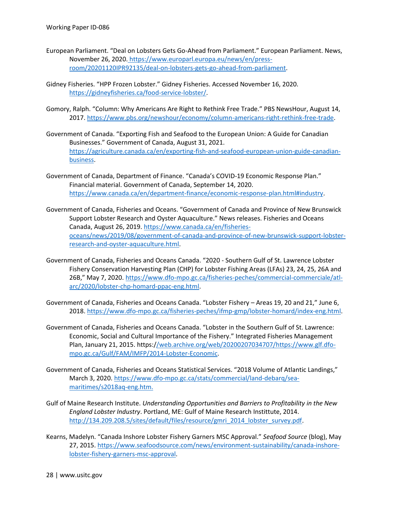- European Parliament. "Deal on Lobsters Gets Go-Ahead from Parliament." European Parliament. News, November 26, 2020. [https://www.europarl.europa.eu/news/en/press](https://www.europarl.europa.eu/news/en/press-room/20201120IPR92135/deal-on-lobsters-gets-go-ahead-from-parliament)[room/20201120IPR92135/deal-on-lobsters-gets-go-ahead-from-parliament.](https://www.europarl.europa.eu/news/en/press-room/20201120IPR92135/deal-on-lobsters-gets-go-ahead-from-parliament)
- Gidney Fisheries. "HPP Frozen Lobster." Gidney Fisheries. Accessed November 16, 2020. [https://gidneyfisheries.ca/food-service-lobster/.](https://gidneyfisheries.ca/food-service-lobster/)
- Gomory, Ralph. "Column: Why Americans Are Right to Rethink Free Trade." PBS NewsHour, August 14, 2017[. https://www.pbs.org/newshour/economy/column-americans-right-rethink-free-trade.](https://www.pbs.org/newshour/economy/column-americans-right-rethink-free-trade)
- Government of Canada. "Exporting Fish and Seafood to the European Union: A Guide for Canadian Businesses." Government of Canada, August 31, 2021. [https://agriculture.canada.ca/en/exporting-fish-and-seafood-european-union-guide-canadian](https://agriculture.canada.ca/en/exporting-fish-and-seafood-european-union-guide-canadian-business)[business.](https://agriculture.canada.ca/en/exporting-fish-and-seafood-european-union-guide-canadian-business)
- Government of Canada, Department of Finance. "Canada's COVID-19 Economic Response Plan." Financial material. Government of Canada, September 14, 2020. [https://www.canada.ca/en/department-finance/economic-response-plan.html#industry.](https://www.canada.ca/en/department-finance/economic-response-plan.html%23industry)
- Government of Canada, Fisheries and Oceans. "Government of Canada and Province of New Brunswick Support Lobster Research and Oyster Aquaculture." News releases. Fisheries and Oceans Canada, August 26, 2019. [https://www.canada.ca/en/fisheries](https://www.canada.ca/en/fisheries-oceans/news/2019/08/government-of-canada-and-province-of-new-brunswick-support-lobster-research-and-oyster-aquaculture.html)[oceans/news/2019/08/government-of-canada-and-province-of-new-brunswick-support-lobster](https://www.canada.ca/en/fisheries-oceans/news/2019/08/government-of-canada-and-province-of-new-brunswick-support-lobster-research-and-oyster-aquaculture.html)[research-and-oyster-aquaculture.html.](https://www.canada.ca/en/fisheries-oceans/news/2019/08/government-of-canada-and-province-of-new-brunswick-support-lobster-research-and-oyster-aquaculture.html)
- Government of Canada, Fisheries and Oceans Canada. "2020 Southern Gulf of St. Lawrence Lobster Fishery Conservation Harvesting Plan (CHP) for Lobster Fishing Areas (LFAs) 23, 24, 25, 26A and 26B," May 7, 2020. [https://www.dfo-mpo.gc.ca/fisheries-peches/commercial-commerciale/atl](https://www.dfo-mpo.gc.ca/fisheries-peches/commercial-commerciale/atl-arc/2020/lobster-chp-homard-ppac-eng.html)[arc/2020/lobster-chp-homard-ppac-eng.html.](https://www.dfo-mpo.gc.ca/fisheries-peches/commercial-commerciale/atl-arc/2020/lobster-chp-homard-ppac-eng.html)
- Government of Canada, Fisheries and Oceans Canada. "Lobster Fishery Areas 19, 20 and 21," June 6, 2018[. https://www.dfo-mpo.gc.ca/fisheries-peches/ifmp-gmp/lobster-homard/index-eng.html.](https://www.dfo-mpo.gc.ca/fisheries-peches/ifmp-gmp/lobster-homard/index-eng.html)
- Government of Canada, Fisheries and Oceans Canada. "Lobster in the Southern Gulf of St. Lawrence: Economic, Social and Cultural Importance of the Fishery." Integrated Fisheries Management Plan, January 21, 2015. https:[//web.archive.org/web/20200207034707/https://www.glf.dfo](file:///C:/web.archive.org/web/20200207034707/https:/www.glf.dfo-mpo.gc.ca/Gulf/FAM/IMFP/2014-Lobster-Economic)[mpo.gc.ca/Gulf/FAM/IMFP/2014-Lobster-Economic.](file:///C:/web.archive.org/web/20200207034707/https:/www.glf.dfo-mpo.gc.ca/Gulf/FAM/IMFP/2014-Lobster-Economic)
- Government of Canada, Fisheries and Oceans Statistical Services. "2018 Volume of Atlantic Landings," March 3, 2020. [https://www.dfo-mpo.gc.ca/stats/commercial/land-debarq/sea](https://www.dfo-mpo.gc.ca/stats/commercial/land-debarq/sea-maritimes/s2018aq-eng.htm.)[maritimes/s2018aq-eng.htm.](https://www.dfo-mpo.gc.ca/stats/commercial/land-debarq/sea-maritimes/s2018aq-eng.htm.)
- Gulf of Maine Research Institute. *Understanding Opportunities and Barriers to Profitability in the New England Lobster Industry*. Portland, ME: Gulf of Maine Research Instittute, 2014. [http://134.209.208.5/sites/default/files/resource/gmri\\_2014\\_lobster\\_survey.pdf.](http://134.209.208.5/sites/default/files/resource/gmri_2014_lobster_survey.pdf)
- Kearns, Madelyn. "Canada Inshore Lobster Fishery Garners MSC Approval." *Seafood Source* (blog), May 27, 2015. [https://www.seafoodsource.com/news/environment-sustainability/canada-inshore](https://www.seafoodsource.com/news/environment-sustainability/canada-inshore-lobster-fishery-garners-msc-approval)[lobster-fishery-garners-msc-approval.](https://www.seafoodsource.com/news/environment-sustainability/canada-inshore-lobster-fishery-garners-msc-approval)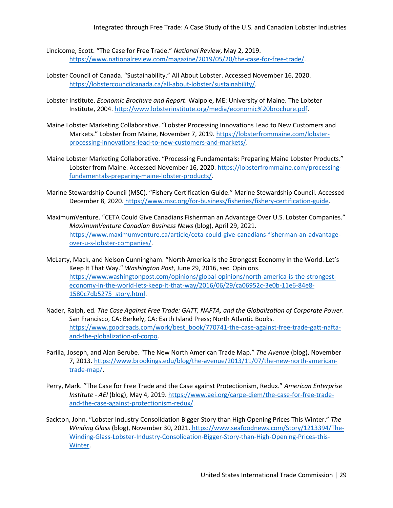- Lincicome, Scott. "The Case for Free Trade." *National Review*, May 2, 2019. [https://www.nationalreview.com/magazine/2019/05/20/the-case-for-free-trade/.](https://www.nationalreview.com/magazine/2019/05/20/the-case-for-free-trade/)
- Lobster Council of Canada. "Sustainability." All About Lobster. Accessed November 16, 2020. [https://lobstercouncilcanada.ca/all-about-lobster/sustainability/.](https://lobstercouncilcanada.ca/all-about-lobster/sustainability/)
- Lobster Institute. *Economic Brochure and Report*. Walpole, ME: University of Maine. The Lobster Institute, 2004[. http://www.lobsterinstitute.org/media/economic%20brochure.pdf.](http://www.lobsterinstitute.org/media/economic%20brochure.pdf)
- Maine Lobster Marketing Collaborative. "Lobster Processing Innovations Lead to New Customers and Markets." Lobster from Maine, November 7, 2019. [https://lobsterfrommaine.com/lobster](https://lobsterfrommaine.com/lobster-processing-innovations-lead-to-new-customers-and-markets/)[processing-innovations-lead-to-new-customers-and-markets/.](https://lobsterfrommaine.com/lobster-processing-innovations-lead-to-new-customers-and-markets/)
- Maine Lobster Marketing Collaborative. "Processing Fundamentals: Preparing Maine Lobster Products." Lobster from Maine. Accessed November 16, 2020. [https://lobsterfrommaine.com/processing](https://lobsterfrommaine.com/processing-fundamentals-preparing-maine-lobster-products/)[fundamentals-preparing-maine-lobster-products/.](https://lobsterfrommaine.com/processing-fundamentals-preparing-maine-lobster-products/)
- Marine Stewardship Council (MSC). "Fishery Certification Guide." Marine Stewardship Council. Accessed December 8, 2020. [https://www.msc.org/for-business/fisheries/fishery-certification-guide.](https://www.msc.org/for-business/fisheries/fishery-certification-guide)
- MaximumVenture. "CETA Could Give Canadians Fisherman an Advantage Over U.S. Lobster Companies." *MaximumVenture Canadian Business News* (blog), April 29, 2021. [https://www.maximumventure.ca/article/ceta-could-give-canadians-fisherman-an-advantage](https://www.maximumventure.ca/article/ceta-could-give-canadians-fisherman-an-advantage-over-u-s-lobster-companies/)[over-u-s-lobster-companies/.](https://www.maximumventure.ca/article/ceta-could-give-canadians-fisherman-an-advantage-over-u-s-lobster-companies/)
- McLarty, Mack, and Nelson Cunningham. "North America Is the Strongest Economy in the World. Let's Keep It That Way." *Washington Post*, June 29, 2016, sec. Opinions. [https://www.washingtonpost.com/opinions/global-opinions/north-america-is-the-strongest](https://www.washingtonpost.com/opinions/global-opinions/north-america-is-the-strongest-economy-in-the-world-lets-keep-it-that-way/2016/06/29/ca06952c-3e0b-11e6-84e8-1580c7db5275_story.html)[economy-in-the-world-lets-keep-it-that-way/2016/06/29/ca06952c-3e0b-11e6-84e8-](https://www.washingtonpost.com/opinions/global-opinions/north-america-is-the-strongest-economy-in-the-world-lets-keep-it-that-way/2016/06/29/ca06952c-3e0b-11e6-84e8-1580c7db5275_story.html) [1580c7db5275\\_story.html.](https://www.washingtonpost.com/opinions/global-opinions/north-america-is-the-strongest-economy-in-the-world-lets-keep-it-that-way/2016/06/29/ca06952c-3e0b-11e6-84e8-1580c7db5275_story.html)
- Nader, Ralph, ed. *The Case Against Free Trade: GATT, NAFTA, and the Globalization of Corporate Power*. San Francisco, CA: Berkely, CA: Earth Island Press; North Atlantic Books. [https://www.goodreads.com/work/best\\_book/770741-the-case-against-free-trade-gatt-nafta](https://www.goodreads.com/work/best_book/770741-the-case-against-free-trade-gatt-nafta-and-the-globalization-of-corpo)[and-the-globalization-of-corpo.](https://www.goodreads.com/work/best_book/770741-the-case-against-free-trade-gatt-nafta-and-the-globalization-of-corpo)
- Parilla, Joseph, and Alan Berube. "The New North American Trade Map." *The Avenue* (blog), November 7, 2013[. https://www.brookings.edu/blog/the-avenue/2013/11/07/the-new-north-american](https://www.brookings.edu/blog/the-avenue/2013/11/07/the-new-north-american-trade-map/)[trade-map/.](https://www.brookings.edu/blog/the-avenue/2013/11/07/the-new-north-american-trade-map/)
- Perry, Mark. "The Case for Free Trade and the Case against Protectionism, Redux." *American Enterprise Institute - AEI* (blog), May 4, 2019. [https://www.aei.org/carpe-diem/the-case-for-free-trade](https://www.aei.org/carpe-diem/the-case-for-free-trade-and-the-case-against-protectionism-redux/)[and-the-case-against-protectionism-redux/.](https://www.aei.org/carpe-diem/the-case-for-free-trade-and-the-case-against-protectionism-redux/)
- Sackton, John. "Lobster Industry Consolidation Bigger Story than High Opening Prices This Winter." *The Winding Glass* (blog), November 30, 2021. [https://www.seafoodnews.com/Story/1213394/The-](https://www.seafoodnews.com/Story/1213394/The-Winding-Glass-Lobster-Industry-Consolidation-Bigger-Story-than-High-Opening-Prices-this-Winter)[Winding-Glass-Lobster-Industry-Consolidation-Bigger-Story-than-High-Opening-Prices-this-](https://www.seafoodnews.com/Story/1213394/The-Winding-Glass-Lobster-Industry-Consolidation-Bigger-Story-than-High-Opening-Prices-this-Winter)[Winter.](https://www.seafoodnews.com/Story/1213394/The-Winding-Glass-Lobster-Industry-Consolidation-Bigger-Story-than-High-Opening-Prices-this-Winter)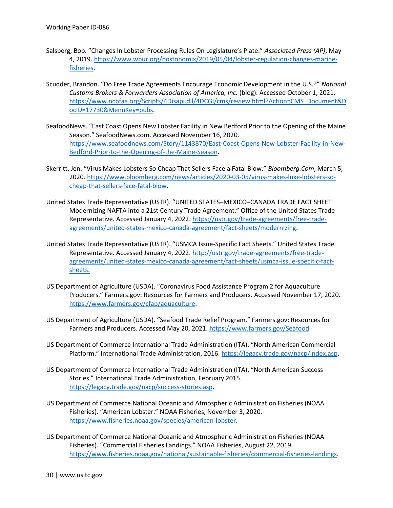- Salsberg, Bob. "Changes In Lobster Processing Rules On Legislature's Plate." *Associated Press (AP)*, May 4, 2019[. https://www.wbur.org/bostonomix/2019/05/04/lobster-regulation-changes-marine](https://www.wbur.org/bostonomix/2019/05/04/lobster-regulation-changes-marine-fisheries)[fisheries.](https://www.wbur.org/bostonomix/2019/05/04/lobster-regulation-changes-marine-fisheries)
- Scudder, Brandon. "Do Free Trade Agreements Encourage Economic Development in the U.S.?" *National Customs Brokers & Forwarders Association of America, Inc.* (blog). Accessed October 1, 2021. [https://www.ncbfaa.org/Scripts/4Disapi.dll/4DCGI/cms/review.html?Action=CMS\\_Document&D](https://www.ncbfaa.org/Scripts/4Disapi.dll/4DCGI/cms/review.html?Action=CMS_Document&DocID=17730&MenuKey=pubs) [ocID=17730&MenuKey=pubs.](https://www.ncbfaa.org/Scripts/4Disapi.dll/4DCGI/cms/review.html?Action=CMS_Document&DocID=17730&MenuKey=pubs)
- SeafoodNews. "East Coast Opens New Lobster Facility in New Bedford Prior to the Opening of the Maine Season." SeafoodNews.com. Accessed November 16, 2020. [https://www.seafoodnews.com/Story/1143870/East-Coast-Opens-New-Lobster-Facility-in-New-](https://www.seafoodnews.com/Story/1143870/East-Coast-Opens-New-Lobster-Facility-in-New-Bedford-Prior-to-the-Opening-of-the-Maine-Season)[Bedford-Prior-to-the-Opening-of-the-Maine-Season.](https://www.seafoodnews.com/Story/1143870/East-Coast-Opens-New-Lobster-Facility-in-New-Bedford-Prior-to-the-Opening-of-the-Maine-Season)
- Skerritt, Jen. "Virus Makes Lobsters So Cheap That Sellers Face a Fatal Blow." *Bloomberg.Com*, March 5, 2020[. https://www.bloomberg.com/news/articles/2020-03-05/virus-makes-luxe-lobsters-so](https://www.bloomberg.com/news/articles/2020-03-05/virus-makes-luxe-lobsters-so-cheap-that-sellers-face-fatal-blow)[cheap-that-sellers-face-fatal-blow.](https://www.bloomberg.com/news/articles/2020-03-05/virus-makes-luxe-lobsters-so-cheap-that-sellers-face-fatal-blow)
- United States Trade Representative (USTR). "UNITED STATES–MEXICO–CANADA TRADE FACT SHEET Modernizing NAFTA into a 21st Century Trade Agreement." Office of the United States Trade Representative. Accessed January 4, 2022[. https://ustr.gov/trade-agreements/free-trade](https://ustr.gov/trade-agreements/free-trade-agreements/united-states-mexico-canada-agreement/fact-sheets/modernizing)[agreements/united-states-mexico-canada-agreement/fact-sheets/modernizing.](https://ustr.gov/trade-agreements/free-trade-agreements/united-states-mexico-canada-agreement/fact-sheets/modernizing)
- United States Trade Representative (USTR). "USMCA Issue-Specific Fact Sheets." United States Trade Representative. Accessed January 4, 2022[. http://ustr.gov/trade-agreements/free-trade](http://ustr.gov/trade-agreements/free-trade-agreements/united-states-mexico-canada-agreement/fact-sheets/usmca-issue-specific-fact-sheets.)[agreements/united-states-mexico-canada-agreement/fact-sheets/usmca-issue-specific-fact](http://ustr.gov/trade-agreements/free-trade-agreements/united-states-mexico-canada-agreement/fact-sheets/usmca-issue-specific-fact-sheets.)[sheets.](http://ustr.gov/trade-agreements/free-trade-agreements/united-states-mexico-canada-agreement/fact-sheets/usmca-issue-specific-fact-sheets.)
- US Department of Agriculture (USDA). "Coronavirus Food Assistance Program 2 for Aquaculture Producers." Farmers.gov: Resources for Farmers and Producers. Accessed November 17, 2020. [https://www.farmers.gov/cfap/aquaculture.](https://www.farmers.gov/cfap/aquaculture)
- US Department of Agriculture (USDA). "Seafood Trade Relief Program." Farmers.gov: Resources for Farmers and Producers. Accessed May 20, 2021. [https://www.farmers.gov/Seafood.](https://www.farmers.gov/Seafood)
- US Department of Commerce International Trade Administration (ITA). "North American Commercial Platform." International Trade Administration, 2016. [https://legacy.trade.gov/nacp/index.asp.](https://legacy.trade.gov/nacp/index.asp)
- US Department of Commerce International Trade Administration (ITA). "North American Success Stories." International Trade Administration, February 2015. [https://legacy.trade.gov/nacp/success-stories.asp.](https://legacy.trade.gov/nacp/success-stories.asp)
- US Department of Commerce National Oceanic and Atmospheric Administration Fisheries (NOAA Fisheries). "American Lobster." NOAA Fisheries, November 3, 2020. [https://www.fisheries.noaa.gov/species/american-lobster.](https://www.fisheries.noaa.gov/species/american-lobster)
- US Department of Commerce National Oceanic and Atmospheric Administration Fisheries (NOAA Fisheries). "Commercial Fisheries Landings." NOAA Fisheries, August 22, 2019. [https://www.fisheries.noaa.gov/national/sustainable-fisheries/commercial-fisheries-landings.](https://www.fisheries.noaa.gov/national/sustainable-fisheries/commercial-fisheries-landings)